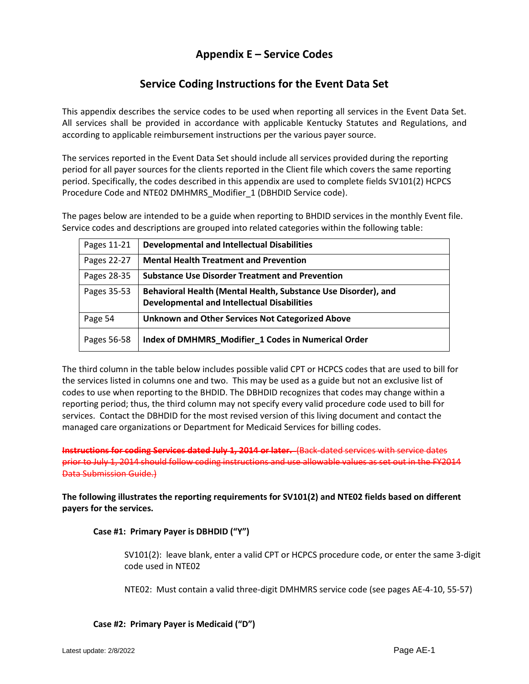# **Appendix E – Service Codes**

# **Service Coding Instructions for the Event Data Set**

This appendix describes the service codes to be used when reporting all services in the Event Data Set. All services shall be provided in accordance with applicable Kentucky Statutes and Regulations, and according to applicable reimbursement instructions per the various payer source.

The services reported in the Event Data Set should include all services provided during the reporting period for all payer sources for the clients reported in the Client file which covers the same reporting period. Specifically, the codes described in this appendix are used to complete fields SV101(2) HCPCS Procedure Code and NTE02 DMHMRS\_Modifier\_1 (DBHDID Service code).

The pages below are intended to be a guide when reporting to BHDID services in the monthly Event file. Service codes and descriptions are grouped into related categories within the following table:

| Pages 11-21 | <b>Developmental and Intellectual Disabilities</b>                                                                   |
|-------------|----------------------------------------------------------------------------------------------------------------------|
| Pages 22-27 | <b>Mental Health Treatment and Prevention</b>                                                                        |
| Pages 28-35 | <b>Substance Use Disorder Treatment and Prevention</b>                                                               |
| Pages 35-53 | Behavioral Health (Mental Health, Substance Use Disorder), and<br><b>Developmental and Intellectual Disabilities</b> |
| Page 54     | <b>Unknown and Other Services Not Categorized Above</b>                                                              |
| Pages 56-58 | Index of DMHMRS_Modifier_1 Codes in Numerical Order                                                                  |

The third column in the table below includes possible valid CPT or HCPCS codes that are used to bill for the services listed in columns one and two. This may be used as a guide but not an exclusive list of codes to use when reporting to the BHDID. The DBHDID recognizes that codes may change within a reporting period; thus, the third column may not specify every valid procedure code used to bill for services. Contact the DBHDID for the most revised version of this living document and contact the managed care organizations or Department for Medicaid Services for billing codes.

**Instructions for coding Services dated July 1, 2014 or later.** (Back-dated services with service dates prior to July 1, 2014 should follow coding instructions and use allowable values as set out in the FY2014 Data Submission Guide.)

**The following illustrates the reporting requirements for SV101(2) and NTE02 fields based on different payers for the services.** 

# **Case #1: Primary Payer is DBHDID ("Y")**

SV101(2): leave blank, enter a valid CPT or HCPCS procedure code, or enter the same 3-digit code used in NTE02

NTE02: Must contain a valid three-digit DMHMRS service code (see pages AE-4-10, 55-57)

**Case #2: Primary Payer is Medicaid ("D")**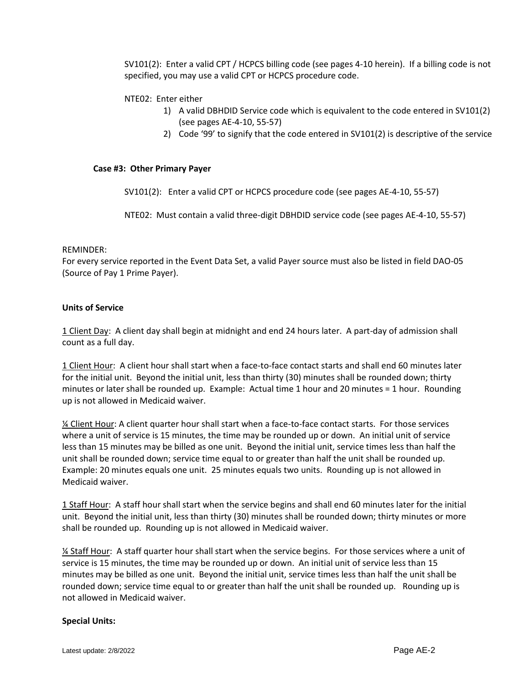SV101(2): Enter a valid CPT / HCPCS billing code (see pages 4-10 herein). If a billing code is not specified, you may use a valid CPT or HCPCS procedure code.

# NTE02: Enter either

- 1) A valid DBHDID Service code which is equivalent to the code entered in SV101(2) (see pages AE-4-10, 55-57)
- 2) Code '99' to signify that the code entered in SV101(2) is descriptive of the service

#### **Case #3: Other Primary Payer**

SV101(2): Enter a valid CPT or HCPCS procedure code (see pages AE-4-10, 55-57)

NTE02: Must contain a valid three-digit DBHDID service code (see pages AE-4-10, 55-57)

#### REMINDER:

For every service reported in the Event Data Set, a valid Payer source must also be listed in field DAO-05 (Source of Pay 1 Prime Payer).

# **Units of Service**

1 Client Day: A client day shall begin at midnight and end 24 hours later. A part-day of admission shall count as a full day.

1 Client Hour: A client hour shall start when a face-to-face contact starts and shall end 60 minutes later for the initial unit. Beyond the initial unit, less than thirty (30) minutes shall be rounded down; thirty minutes or later shall be rounded up. Example: Actual time 1 hour and 20 minutes = 1 hour. Rounding up is not allowed in Medicaid waiver.

¼ Client Hour: A client quarter hour shall start when a face-to-face contact starts. For those services where a unit of service is 15 minutes, the time may be rounded up or down. An initial unit of service less than 15 minutes may be billed as one unit. Beyond the initial unit, service times less than half the unit shall be rounded down; service time equal to or greater than half the unit shall be rounded up. Example: 20 minutes equals one unit. 25 minutes equals two units. Rounding up is not allowed in Medicaid waiver.

1 Staff Hour: A staff hour shall start when the service begins and shall end 60 minutes later for the initial unit. Beyond the initial unit, less than thirty (30) minutes shall be rounded down; thirty minutes or more shall be rounded up. Rounding up is not allowed in Medicaid waiver.

1/4 Staff Hour: A staff quarter hour shall start when the service begins. For those services where a unit of service is 15 minutes, the time may be rounded up or down. An initial unit of service less than 15 minutes may be billed as one unit. Beyond the initial unit, service times less than half the unit shall be rounded down; service time equal to or greater than half the unit shall be rounded up. Rounding up is not allowed in Medicaid waiver.

#### **Special Units:**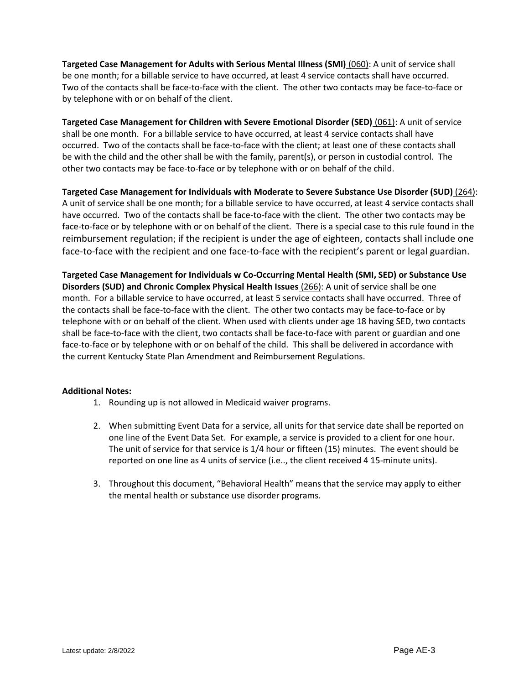**Targeted Case Management for Adults with Serious Mental Illness (SMI)** (060): A unit of service shall be one month; for a billable service to have occurred, at least 4 service contacts shall have occurred. Two of the contacts shall be face-to-face with the client. The other two contacts may be face-to-face or by telephone with or on behalf of the client.

**Targeted Case Management for Children with Severe Emotional Disorder (SED)** (061): A unit of service shall be one month. For a billable service to have occurred, at least 4 service contacts shall have occurred. Two of the contacts shall be face-to-face with the client; at least one of these contacts shall be with the child and the other shall be with the family, parent(s), or person in custodial control. The other two contacts may be face-to-face or by telephone with or on behalf of the child.

**Targeted Case Management for Individuals with Moderate to Severe Substance Use Disorder (SUD)** (264): A unit of service shall be one month; for a billable service to have occurred, at least 4 service contacts shall have occurred. Two of the contacts shall be face-to-face with the client. The other two contacts may be face-to-face or by telephone with or on behalf of the client. There is a special case to this rule found in the reimbursement regulation; if the recipient is under the age of eighteen, contacts shall include one face-to-face with the recipient and one face-to-face with the recipient's parent or legal guardian.

**Targeted Case Management for Individuals w Co-Occurring Mental Health (SMI, SED) or Substance Use Disorders (SUD) and Chronic Complex Physical Health Issues** (266): A unit of service shall be one month. For a billable service to have occurred, at least 5 service contacts shall have occurred. Three of the contacts shall be face-to-face with the client. The other two contacts may be face-to-face or by telephone with or on behalf of the client. When used with clients under age 18 having SED, two contacts shall be face-to-face with the client, two contacts shall be face-to-face with parent or guardian and one face-to-face or by telephone with or on behalf of the child. This shall be delivered in accordance with the current Kentucky State Plan Amendment and Reimbursement Regulations.

# **Additional Notes:**

- 1. Rounding up is not allowed in Medicaid waiver programs.
- 2. When submitting Event Data for a service, all units for that service date shall be reported on one line of the Event Data Set. For example, a service is provided to a client for one hour. The unit of service for that service is 1/4 hour or fifteen (15) minutes. The event should be reported on one line as 4 units of service (i.e.., the client received 4 15-minute units).
- 3. Throughout this document, "Behavioral Health" means that the service may apply to either the mental health or substance use disorder programs.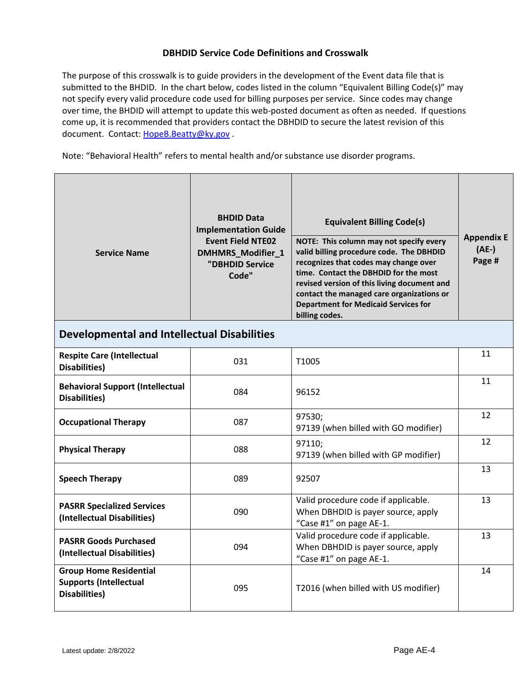# **DBHDID Service Code Definitions and Crosswalk**

The purpose of this crosswalk is to guide providers in the development of the Event data file that is submitted to the BHDID. In the chart below, codes listed in the column "Equivalent Billing Code(s)" may not specify every valid procedure code used for billing purposes per service. Since codes may change over time, the BHDID will attempt to update this web-posted document as often as needed. If questions come up, it is recommended that providers contact the DBHDID to secure the latest revision of this document. Contact[: HopeB.Beatty@ky.gov](mailto:HopeB.Beatty@ky.gov) .

Note: "Behavioral Health" refers to mental health and/or substance use disorder programs.

| <b>Service Name</b>                                                                     | <b>BHDID Data</b><br><b>Implementation Guide</b><br><b>Event Field NTE02</b><br>DMHMRS_Modifier_1<br>"DBHDID Service<br>Code" | <b>Equivalent Billing Code(s)</b><br>NOTE: This column may not specify every<br>valid billing procedure code. The DBHDID<br>recognizes that codes may change over<br>time. Contact the DBHDID for the most<br>revised version of this living document and<br>contact the managed care organizations or<br><b>Department for Medicaid Services for</b><br>billing codes. | <b>Appendix E</b><br>$(AE-)$<br>Page # |
|-----------------------------------------------------------------------------------------|-------------------------------------------------------------------------------------------------------------------------------|-------------------------------------------------------------------------------------------------------------------------------------------------------------------------------------------------------------------------------------------------------------------------------------------------------------------------------------------------------------------------|----------------------------------------|
| <b>Developmental and Intellectual Disabilities</b>                                      |                                                                                                                               |                                                                                                                                                                                                                                                                                                                                                                         |                                        |
| <b>Respite Care (Intellectual</b><br><b>Disabilities</b> )                              | 031                                                                                                                           | T1005                                                                                                                                                                                                                                                                                                                                                                   | 11                                     |
| <b>Behavioral Support (Intellectual</b><br><b>Disabilities</b> )                        | 084                                                                                                                           | 96152                                                                                                                                                                                                                                                                                                                                                                   | 11                                     |
| <b>Occupational Therapy</b>                                                             | 087                                                                                                                           | 97530;<br>97139 (when billed with GO modifier)                                                                                                                                                                                                                                                                                                                          | 12                                     |
| <b>Physical Therapy</b>                                                                 | 088                                                                                                                           | 97110;<br>97139 (when billed with GP modifier)                                                                                                                                                                                                                                                                                                                          | 12                                     |
| <b>Speech Therapy</b>                                                                   | 089                                                                                                                           | 92507                                                                                                                                                                                                                                                                                                                                                                   | 13                                     |
| <b>PASRR Specialized Services</b><br>(Intellectual Disabilities)                        | 090                                                                                                                           | Valid procedure code if applicable.<br>When DBHDID is payer source, apply<br>"Case #1" on page AE-1.                                                                                                                                                                                                                                                                    | 13                                     |
| <b>PASRR Goods Purchased</b><br>(Intellectual Disabilities)                             | 094                                                                                                                           | Valid procedure code if applicable.<br>When DBHDID is payer source, apply<br>"Case #1" on page AE-1.                                                                                                                                                                                                                                                                    | 13                                     |
| <b>Group Home Residential</b><br><b>Supports (Intellectual</b><br><b>Disabilities</b> ) | 095                                                                                                                           | T2016 (when billed with US modifier)                                                                                                                                                                                                                                                                                                                                    | 14                                     |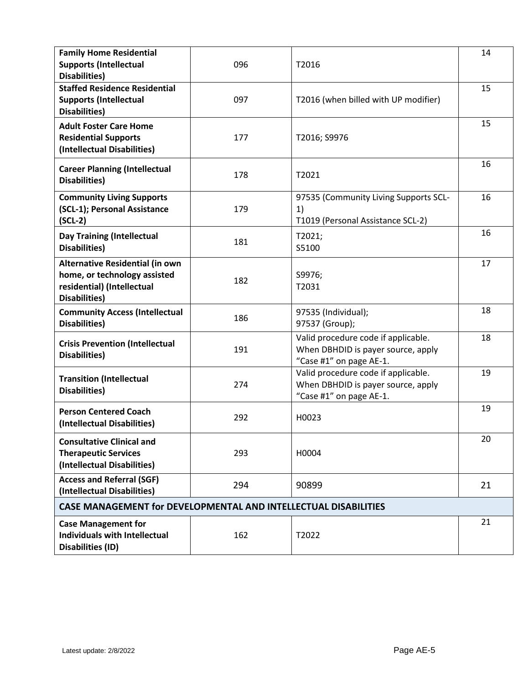| <b>Family Home Residential</b><br><b>Supports (Intellectual</b><br>Disabilities)                               | 096 | T2016                                                                                                | 14 |
|----------------------------------------------------------------------------------------------------------------|-----|------------------------------------------------------------------------------------------------------|----|
| <b>Staffed Residence Residential</b><br><b>Supports (Intellectual</b><br><b>Disabilities</b> )                 | 097 | T2016 (when billed with UP modifier)                                                                 | 15 |
| <b>Adult Foster Care Home</b><br><b>Residential Supports</b><br>(Intellectual Disabilities)                    | 177 | T2016; S9976                                                                                         | 15 |
| <b>Career Planning (Intellectual</b><br>Disabilities)                                                          | 178 | T <sub>2021</sub>                                                                                    | 16 |
| <b>Community Living Supports</b><br>(SCL-1); Personal Assistance<br>$(SCL-2)$                                  | 179 | 97535 (Community Living Supports SCL-<br>1)<br>T1019 (Personal Assistance SCL-2)                     | 16 |
| <b>Day Training (Intellectual</b><br>Disabilities)                                                             | 181 | T2021;<br>S5100                                                                                      | 16 |
| Alternative Residential (in own<br>home, or technology assisted<br>residential) (Intellectual<br>Disabilities) | 182 | S9976;<br>T2031                                                                                      | 17 |
| <b>Community Access (Intellectual</b><br>Disabilities)                                                         | 186 | 97535 (Individual);<br>97537 (Group);                                                                | 18 |
| <b>Crisis Prevention (Intellectual</b><br>Disabilities)                                                        | 191 | Valid procedure code if applicable.<br>When DBHDID is payer source, apply<br>"Case #1" on page AE-1. | 18 |
| <b>Transition (Intellectual</b><br>Disabilities)                                                               | 274 | Valid procedure code if applicable.<br>When DBHDID is payer source, apply<br>"Case #1" on page AE-1. | 19 |
| <b>Person Centered Coach</b><br>(Intellectual Disabilities)                                                    | 292 | H0023                                                                                                | 19 |
| <b>Consultative Clinical and</b><br><b>Therapeutic Services</b><br>(Intellectual Disabilities)                 | 293 | H0004                                                                                                | 20 |
| <b>Access and Referral (SGF)</b><br>(Intellectual Disabilities)                                                | 294 | 90899                                                                                                | 21 |
| <b>CASE MANAGEMENT for DEVELOPMENTAL AND INTELLECTUAL DISABILITIES</b>                                         |     |                                                                                                      |    |
| <b>Case Management for</b><br><b>Individuals with Intellectual</b><br><b>Disabilities (ID)</b>                 | 162 | T2022                                                                                                | 21 |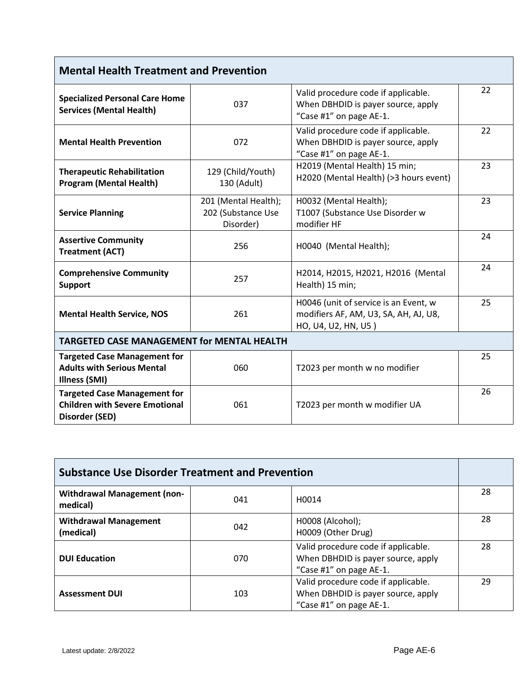| <b>Mental Health Treatment and Prevention</b>                                                  |                                                         |                                                                                                       |    |
|------------------------------------------------------------------------------------------------|---------------------------------------------------------|-------------------------------------------------------------------------------------------------------|----|
| <b>Specialized Personal Care Home</b><br><b>Services (Mental Health)</b>                       | 037                                                     | Valid procedure code if applicable.<br>When DBHDID is payer source, apply<br>"Case #1" on page AE-1.  | 22 |
| <b>Mental Health Prevention</b>                                                                | 072                                                     | Valid procedure code if applicable.<br>When DBHDID is payer source, apply<br>"Case #1" on page AE-1.  | 22 |
| <b>Therapeutic Rehabilitation</b><br><b>Program (Mental Health)</b>                            | 129 (Child/Youth)<br>130 (Adult)                        | H2019 (Mental Health) 15 min;<br>H2020 (Mental Health) (>3 hours event)                               | 23 |
| <b>Service Planning</b>                                                                        | 201 (Mental Health);<br>202 (Substance Use<br>Disorder) | H0032 (Mental Health);<br>T1007 (Substance Use Disorder w<br>modifier HF                              | 23 |
| <b>Assertive Community</b><br><b>Treatment (ACT)</b>                                           | 256                                                     | H0040 (Mental Health);                                                                                | 24 |
| <b>Comprehensive Community</b><br><b>Support</b>                                               | 257                                                     | H2014, H2015, H2021, H2016 (Mental<br>Health) 15 min;                                                 | 24 |
| <b>Mental Health Service, NOS</b>                                                              | 261                                                     | H0046 (unit of service is an Event, w<br>modifiers AF, AM, U3, SA, AH, AJ, U8,<br>HO, U4, U2, HN, U5) | 25 |
| <b>TARGETED CASE MANAGEMENT for MENTAL HEALTH</b>                                              |                                                         |                                                                                                       |    |
| <b>Targeted Case Management for</b><br><b>Adults with Serious Mental</b><br>Illness (SMI)      | 060                                                     | T2023 per month w no modifier                                                                         | 25 |
| <b>Targeted Case Management for</b><br><b>Children with Severe Emotional</b><br>Disorder (SED) | 061                                                     | T2023 per month w modifier UA                                                                         | 26 |

| <b>Substance Use Disorder Treatment and Prevention</b> |                          |                                                                                                      |    |
|--------------------------------------------------------|--------------------------|------------------------------------------------------------------------------------------------------|----|
| <b>Withdrawal Management (non-</b><br>medical)         | H <sub>0014</sub><br>041 |                                                                                                      |    |
| <b>Withdrawal Management</b><br>(medical)              | 042                      | H0008 (Alcohol);<br>H0009 (Other Drug)                                                               | 28 |
| <b>DUI Education</b>                                   | 070                      | Valid procedure code if applicable.<br>When DBHDID is payer source, apply<br>"Case #1" on page AE-1. | 28 |
| <b>Assessment DUI</b>                                  | 103                      | Valid procedure code if applicable.<br>When DBHDID is payer source, apply<br>"Case #1" on page AE-1. | 29 |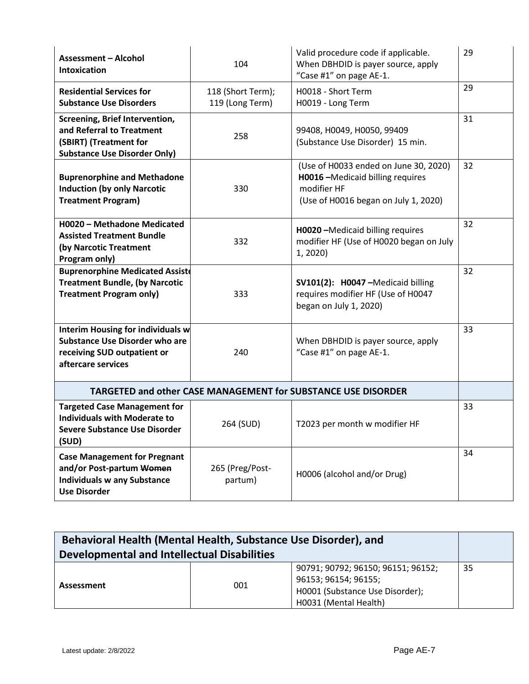| <b>Assessment - Alcohol</b><br><b>Intoxication</b>                                                                                     | 104                                  | Valid procedure code if applicable.<br>When DBHDID is payer source, apply<br>"Case #1" on page AE-1.                              | 29 |
|----------------------------------------------------------------------------------------------------------------------------------------|--------------------------------------|-----------------------------------------------------------------------------------------------------------------------------------|----|
| <b>Residential Services for</b><br><b>Substance Use Disorders</b>                                                                      | 118 (Short Term);<br>119 (Long Term) | H0018 - Short Term<br>H0019 - Long Term                                                                                           | 29 |
| Screening, Brief Intervention,<br>and Referral to Treatment<br>(SBIRT) (Treatment for<br><b>Substance Use Disorder Only)</b>           | 258                                  | 99408, H0049, H0050, 99409<br>(Substance Use Disorder) 15 min.                                                                    | 31 |
| <b>Buprenorphine and Methadone</b><br><b>Induction (by only Narcotic</b><br><b>Treatment Program)</b>                                  | 330                                  | (Use of H0033 ended on June 30, 2020)<br>H0016 - Medicaid billing requires<br>modifier HF<br>(Use of H0016 began on July 1, 2020) | 32 |
| H0020 - Methadone Medicated<br><b>Assisted Treatment Bundle</b><br>(by Narcotic Treatment<br>Program only)                             | 332                                  | H0020-Medicaid billing requires<br>modifier HF (Use of H0020 began on July<br>1, 2020)                                            | 32 |
| <b>Buprenorphine Medicated Assiste</b><br><b>Treatment Bundle, (by Narcotic</b><br><b>Treatment Program only)</b>                      | 333                                  | SV101(2): H0047-Medicaid billing<br>requires modifier HF (Use of H0047<br>began on July 1, 2020)                                  | 32 |
| <b>Interim Housing for individuals w</b><br><b>Substance Use Disorder who are</b><br>receiving SUD outpatient or<br>aftercare services | 240                                  | When DBHDID is payer source, apply<br>"Case #1" on page AE-1.                                                                     | 33 |
|                                                                                                                                        |                                      | TARGETED and other CASE MANAGEMENT for SUBSTANCE USE DISORDER                                                                     |    |
| <b>Targeted Case Management for</b><br><b>Individuals with Moderate to</b><br>Severe Substance Use Disorder<br>(SUD)                   | 264 (SUD)                            | T2023 per month w modifier HF                                                                                                     | 33 |
| <b>Case Management for Pregnant</b><br>and/or Post-partum Women<br><b>Individuals w any Substance</b><br><b>Use Disorder</b>           | 265 (Preg/Post-<br>partum)           | H0006 (alcohol and/or Drug)                                                                                                       | 34 |

| Behavioral Health (Mental Health, Substance Use Disorder), and |     |                                    |    |
|----------------------------------------------------------------|-----|------------------------------------|----|
| <b>Developmental and Intellectual Disabilities</b>             |     |                                    |    |
|                                                                |     | 90791; 90792; 96150; 96151; 96152; | 35 |
|                                                                | 001 | 96153; 96154; 96155;               |    |
| Assessment                                                     |     | H0001 (Substance Use Disorder);    |    |
|                                                                |     | H0031 (Mental Health)              |    |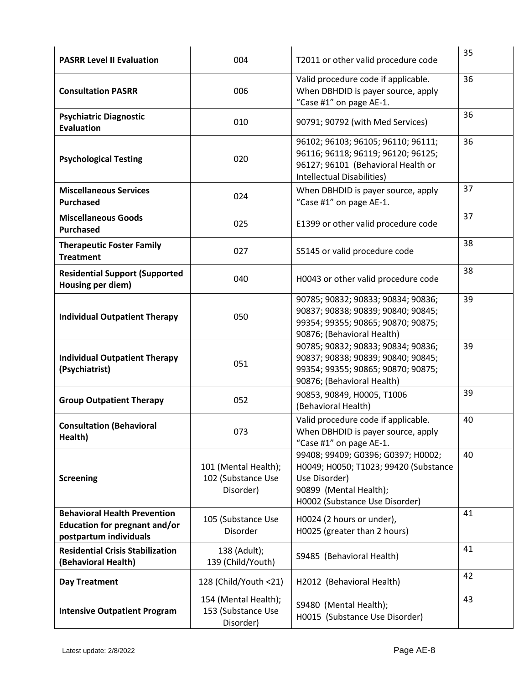| <b>PASRR Level II Evaluation</b>                                                               | 004                                                     | T2011 or other valid procedure code                                                                                                                      | 35 |
|------------------------------------------------------------------------------------------------|---------------------------------------------------------|----------------------------------------------------------------------------------------------------------------------------------------------------------|----|
| <b>Consultation PASRR</b>                                                                      | 006                                                     | Valid procedure code if applicable.<br>When DBHDID is payer source, apply<br>"Case #1" on page AE-1.                                                     | 36 |
| <b>Psychiatric Diagnostic</b><br><b>Evaluation</b>                                             | 010                                                     | 90791; 90792 (with Med Services)                                                                                                                         | 36 |
| <b>Psychological Testing</b>                                                                   | 020                                                     | 96102; 96103; 96105; 96110; 96111;<br>96116; 96118; 96119; 96120; 96125;<br>96127; 96101 (Behavioral Health or<br>Intellectual Disabilities)             | 36 |
| <b>Miscellaneous Services</b><br><b>Purchased</b>                                              | 024                                                     | When DBHDID is payer source, apply<br>"Case #1" on page AE-1.                                                                                            | 37 |
| <b>Miscellaneous Goods</b><br><b>Purchased</b>                                                 | 025                                                     | E1399 or other valid procedure code                                                                                                                      | 37 |
| <b>Therapeutic Foster Family</b><br><b>Treatment</b>                                           | 027                                                     | S5145 or valid procedure code                                                                                                                            | 38 |
| <b>Residential Support (Supported</b><br>Housing per diem)                                     | 040                                                     | H0043 or other valid procedure code                                                                                                                      | 38 |
| <b>Individual Outpatient Therapy</b>                                                           | 050                                                     | 90785; 90832; 90833; 90834; 90836;<br>90837; 90838; 90839; 90840; 90845;<br>99354; 99355; 90865; 90870; 90875;<br>90876; (Behavioral Health)             | 39 |
| <b>Individual Outpatient Therapy</b><br>(Psychiatrist)                                         | 051                                                     | 90785; 90832; 90833; 90834; 90836;<br>90837; 90838; 90839; 90840; 90845;<br>99354; 99355; 90865; 90870; 90875;<br>90876; (Behavioral Health)             | 39 |
| <b>Group Outpatient Therapy</b>                                                                | 052                                                     | 90853, 90849, H0005, T1006<br>(Behavioral Health)                                                                                                        | 39 |
| <b>Consultation (Behavioral</b><br>Health)                                                     | 073                                                     | Valid procedure code if applicable.<br>When DBHDID is payer source, apply<br>"Case #1" on page AE-1.                                                     | 40 |
| <b>Screening</b>                                                                               | 101 (Mental Health);<br>102 (Substance Use<br>Disorder) | 99408; 99409; G0396; G0397; H0002;<br>H0049; H0050; T1023; 99420 (Substance<br>Use Disorder)<br>90899 (Mental Health);<br>H0002 (Substance Use Disorder) | 40 |
| <b>Behavioral Health Prevention</b><br>Education for pregnant and/or<br>postpartum individuals | 105 (Substance Use<br>Disorder                          | H0024 (2 hours or under),<br>H0025 (greater than 2 hours)                                                                                                | 41 |
| <b>Residential Crisis Stabilization</b><br>(Behavioral Health)                                 | 138 (Adult);<br>139 (Child/Youth)                       | S9485 (Behavioral Health)                                                                                                                                | 41 |
| <b>Day Treatment</b>                                                                           | 128 (Child/Youth <21)                                   | H2012 (Behavioral Health)                                                                                                                                | 42 |
| <b>Intensive Outpatient Program</b>                                                            | 154 (Mental Health);<br>153 (Substance Use<br>Disorder) | S9480 (Mental Health);<br>H0015 (Substance Use Disorder)                                                                                                 | 43 |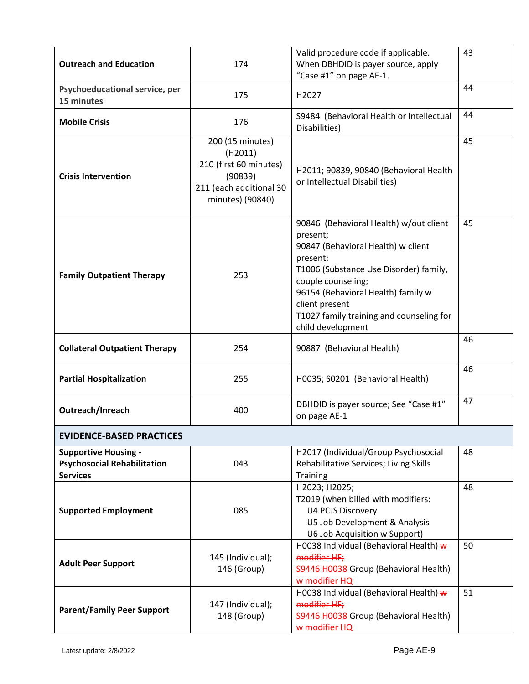| <b>Outreach and Education</b>                                                        | 174                                                                                                             | Valid procedure code if applicable.<br>When DBHDID is payer source, apply<br>"Case #1" on page AE-1.                                                                                                                                                                                          | 43 |
|--------------------------------------------------------------------------------------|-----------------------------------------------------------------------------------------------------------------|-----------------------------------------------------------------------------------------------------------------------------------------------------------------------------------------------------------------------------------------------------------------------------------------------|----|
| Psychoeducational service, per<br>15 minutes                                         | 175                                                                                                             | H <sub>2027</sub>                                                                                                                                                                                                                                                                             | 44 |
| <b>Mobile Crisis</b>                                                                 | 176                                                                                                             | S9484 (Behavioral Health or Intellectual<br>Disabilities)                                                                                                                                                                                                                                     | 44 |
| <b>Crisis Intervention</b>                                                           | 200 (15 minutes)<br>(H2011)<br>210 (first 60 minutes)<br>(90839)<br>211 (each additional 30<br>minutes) (90840) | H2011; 90839, 90840 (Behavioral Health<br>or Intellectual Disabilities)                                                                                                                                                                                                                       | 45 |
| <b>Family Outpatient Therapy</b>                                                     | 253                                                                                                             | 90846 (Behavioral Health) w/out client<br>present;<br>90847 (Behavioral Health) w client<br>present;<br>T1006 (Substance Use Disorder) family,<br>couple counseling;<br>96154 (Behavioral Health) family w<br>client present<br>T1027 family training and counseling for<br>child development | 45 |
| <b>Collateral Outpatient Therapy</b>                                                 | 254                                                                                                             | 90887 (Behavioral Health)                                                                                                                                                                                                                                                                     | 46 |
| <b>Partial Hospitalization</b>                                                       | 255                                                                                                             | H0035; S0201 (Behavioral Health)                                                                                                                                                                                                                                                              | 46 |
| Outreach/Inreach                                                                     | 400                                                                                                             | DBHDID is payer source; See "Case #1"<br>on page AE-1                                                                                                                                                                                                                                         | 47 |
| <b>EVIDENCE-BASED PRACTICES</b>                                                      |                                                                                                                 |                                                                                                                                                                                                                                                                                               |    |
| <b>Supportive Housing -</b><br><b>Psychosocial Rehabilitation</b><br><b>Services</b> | 043                                                                                                             | H2017 (Individual/Group Psychosocial<br>Rehabilitative Services; Living Skills<br><b>Training</b>                                                                                                                                                                                             | 48 |
| <b>Supported Employment</b>                                                          | 085                                                                                                             | H2023; H2025;<br>T2019 (when billed with modifiers:<br><b>U4 PCJS Discovery</b><br>U5 Job Development & Analysis<br>U6 Job Acquisition w Support)                                                                                                                                             | 48 |
| <b>Adult Peer Support</b>                                                            | 145 (Individual);<br>146 (Group)                                                                                | H0038 Individual (Behavioral Health) w<br>modifier HF;<br>59446 H0038 Group (Behavioral Health)<br>w modifier HQ                                                                                                                                                                              | 50 |
| <b>Parent/Family Peer Support</b>                                                    | 147 (Individual);<br>148 (Group)                                                                                | H0038 Individual (Behavioral Health) w<br>modifier HF;<br>\$9446 H0038 Group (Behavioral Health)<br>w modifier HQ                                                                                                                                                                             | 51 |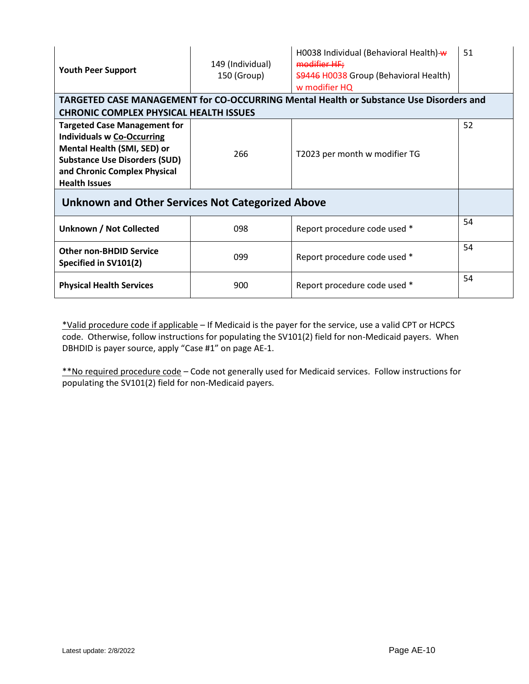| <b>Youth Peer Support</b>                                                                                                                                                                               | 149 (Individual)<br>150 (Group) | H0038 Individual (Behavioral Health) w<br>modifier HF;<br>59446 H0038 Group (Behavioral Health)<br>w modifier HQ | 51 |
|---------------------------------------------------------------------------------------------------------------------------------------------------------------------------------------------------------|---------------------------------|------------------------------------------------------------------------------------------------------------------|----|
|                                                                                                                                                                                                         |                                 | TARGETED CASE MANAGEMENT for CO-OCCURRING Mental Health or Substance Use Disorders and                           |    |
| <b>CHRONIC COMPLEX PHYSICAL HEALTH ISSUES</b>                                                                                                                                                           |                                 |                                                                                                                  |    |
| <b>Targeted Case Management for</b><br><b>Individuals w Co-Occurring</b><br>Mental Health (SMI, SED) or<br><b>Substance Use Disorders (SUD)</b><br>and Chronic Complex Physical<br><b>Health Issues</b> | 266                             | T2023 per month w modifier TG                                                                                    | 52 |
| Unknown and Other Services Not Categorized Above                                                                                                                                                        |                                 |                                                                                                                  |    |
| <b>Unknown / Not Collected</b>                                                                                                                                                                          | 098                             | Report procedure code used *                                                                                     | 54 |
| <b>Other non-BHDID Service</b><br>Specified in SV101(2)                                                                                                                                                 | 099                             | Report procedure code used *                                                                                     | 54 |
| <b>Physical Health Services</b>                                                                                                                                                                         | 900                             | Report procedure code used *                                                                                     | 54 |

\*Valid procedure code if applicable – If Medicaid is the payer for the service, use a valid CPT or HCPCS code. Otherwise, follow instructions for populating the SV101(2) field for non-Medicaid payers. When DBHDID is payer source, apply "Case #1" on page AE-1.

\*\*No required procedure code – Code not generally used for Medicaid services. Follow instructions for populating the SV101(2) field for non-Medicaid payers.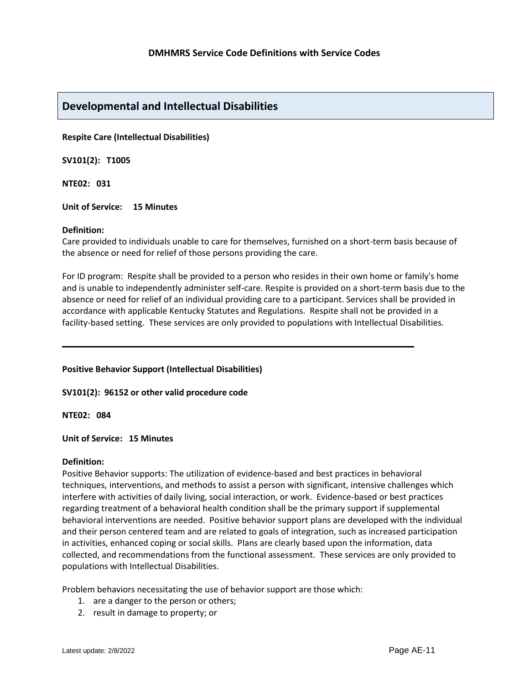# **Developmental and Intellectual Disabilities**

**Respite Care (Intellectual Disabilities)**

**SV101(2): T1005** 

**NTE02: 031**

**Unit of Service: 15 Minutes**

#### **Definition:**

Care provided to individuals unable to care for themselves, furnished on a short-term basis because of the absence or need for relief of those persons providing the care.

For ID program: Respite shall be provided to a person who resides in their own home or family's home and is unable to independently administer self-care. Respite is provided on a short-term basis due to the absence or need for relief of an individual providing care to a participant. Services shall be provided in accordance with applicable Kentucky Statutes and Regulations. Respite shall not be provided in a facility-based setting. These services are only provided to populations with Intellectual Disabilities.

#### **Positive Behavior Support (Intellectual Disabilities)**

**SV101(2): 96152 or other valid procedure code**

**NTE02: 084**

**Unit of Service: 15 Minutes**

#### **Definition:**

Positive Behavior supports: The utilization of evidence-based and best practices in behavioral techniques, interventions, and methods to assist a person with significant, intensive challenges which interfere with activities of daily living, social interaction, or work. Evidence-based or best practices regarding treatment of a behavioral health condition shall be the primary support if supplemental behavioral interventions are needed. Positive behavior support plans are developed with the individual and their person centered team and are related to goals of integration, such as increased participation in activities, enhanced coping or social skills. Plans are clearly based upon the information, data collected, and recommendations from the functional assessment.These services are only provided to populations with Intellectual Disabilities.

Problem behaviors necessitating the use of behavior support are those which:

- 1. are a danger to the person or others;
- 2. result in damage to property; or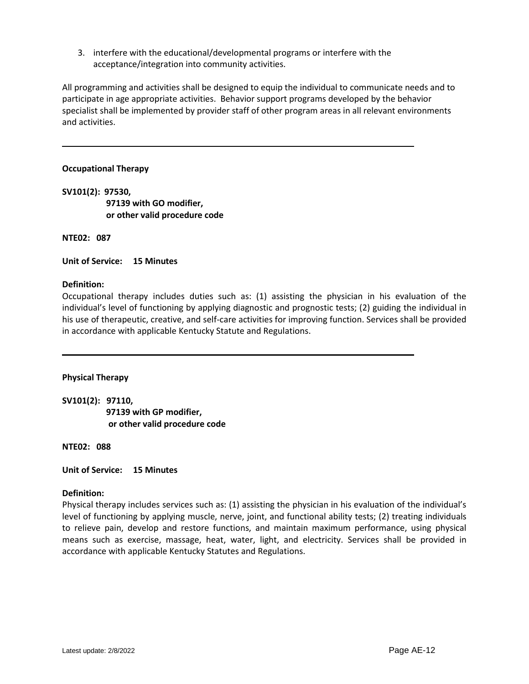3. interfere with the educational/developmental programs or interfere with the acceptance/integration into community activities.

All programming and activities shall be designed to equip the individual to communicate needs and to participate in age appropriate activities. Behavior support programs developed by the behavior specialist shall be implemented by provider staff of other program areas in all relevant environments and activities.

## **Occupational Therapy**

**SV101(2): 97530, 97139 with GO modifier, or other valid procedure code**

**NTE02: 087**

**Unit of Service: 15 Minutes**

# **Definition:**

Occupational therapy includes duties such as: (1) assisting the physician in his evaluation of the individual's level of functioning by applying diagnostic and prognostic tests; (2) guiding the individual in his use of therapeutic, creative, and self-care activities for improving function. Services shall be provided in accordance with applicable Kentucky Statute and Regulations.

#### **Physical Therapy**

**SV101(2): 97110,** 

 **97139 with GP modifier, or other valid procedure code**

**NTE02: 088**

**Unit of Service: 15 Minutes**

#### **Definition:**

Physical therapy includes services such as: (1) assisting the physician in his evaluation of the individual's level of functioning by applying muscle, nerve, joint, and functional ability tests; (2) treating individuals to relieve pain, develop and restore functions, and maintain maximum performance, using physical means such as exercise, massage, heat, water, light, and electricity. Services shall be provided in accordance with applicable Kentucky Statutes and Regulations.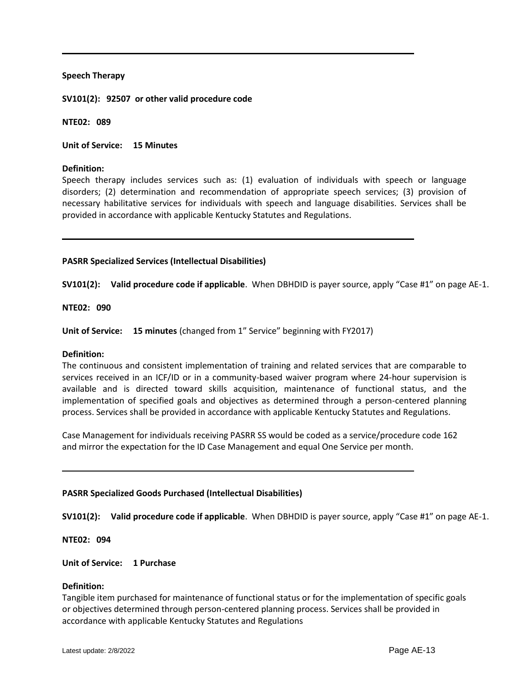#### **Speech Therapy**

**SV101(2): 92507 or other valid procedure code**

**NTE02: 089**

**Unit of Service: 15 Minutes**

## **Definition:**

Speech therapy includes services such as: (1) evaluation of individuals with speech or language disorders; (2) determination and recommendation of appropriate speech services; (3) provision of necessary habilitative services for individuals with speech and language disabilities. Services shall be provided in accordance with applicable Kentucky Statutes and Regulations.

# **PASRR Specialized Services (Intellectual Disabilities)**

**SV101(2): Valid procedure code if applicable**. When DBHDID is payer source, apply "Case #1" on page AE-1.

# **NTE02: 090**

**Unit of Service: 15 minutes** (changed from 1" Service" beginning with FY2017)

#### **Definition:**

The continuous and consistent implementation of training and related services that are comparable to services received in an ICF/ID or in a community-based waiver program where 24-hour supervision is available and is directed toward skills acquisition, maintenance of functional status, and the implementation of specified goals and objectives as determined through a person-centered planning process. Services shall be provided in accordance with applicable Kentucky Statutes and Regulations.

Case Management for individuals receiving PASRR SS would be coded as a service/procedure code 162 and mirror the expectation for the ID Case Management and equal One Service per month.

#### **PASRR Specialized Goods Purchased (Intellectual Disabilities)**

**SV101(2): Valid procedure code if applicable**. When DBHDID is payer source, apply "Case #1" on page AE-1.

#### **NTE02: 094**

**Unit of Service: 1 Purchase**

#### **Definition:**

Tangible item purchased for maintenance of functional status or for the implementation of specific goals or objectives determined through person-centered planning process. Services shall be provided in accordance with applicable Kentucky Statutes and Regulations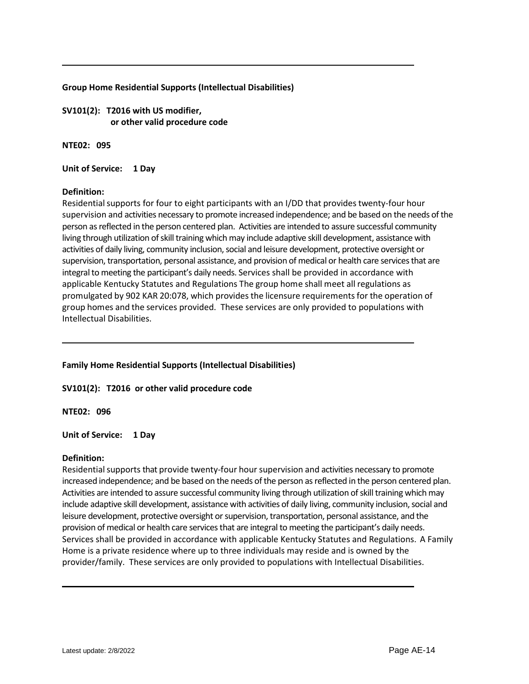# **Group Home Residential Supports (Intellectual Disabilities)**

**SV101(2): T2016 with US modifier, or other valid procedure code**

**NTE02: 095**

**Unit of Service: 1 Day**

# **Definition:**

Residential supports for four to eight participants with an I/DD that provides twenty-four hour supervision and activities necessary to promote increased independence; and be based on the needs of the person as reflected in the person centered plan. Activities are intended to assure successful community living through utilization of skill training which may include adaptive skill development, assistance with activities of daily living, community inclusion, social and leisure development, protective oversight or supervision, transportation, personal assistance, and provision of medical or health care services that are integral to meeting the participant's daily needs. Services shall be provided in accordance with applicable Kentucky Statutes and Regulations The group home shall meet all regulations as promulgated by 902 KAR 20:078, which provides the licensure requirementsfor the operation of group homes and the services provided. These services are only provided to populations with Intellectual Disabilities.

# **Family Home Residential Supports (Intellectual Disabilities)**

**SV101(2): T2016 or other valid procedure code**

# **NTE02: 096**

# **Unit of Service: 1 Day**

#### **Definition:**

Residential supports that provide twenty-four hour supervision and activities necessary to promote increased independence; and be based on the needs of the person as reflected in the person centered plan. Activities are intended to assure successful community living through utilization of skill training which may include adaptive skill development, assistance with activities of daily living, community inclusion, social and leisure development, protective oversight or supervision, transportation, personal assistance, and the provision of medical or health care services that are integral to meeting the participant's daily needs. Services shall be provided in accordance with applicable Kentucky Statutes and Regulations. A Family Home is a private residence where up to three individuals may reside and is owned by the provider/family. These services are only provided to populations with Intellectual Disabilities.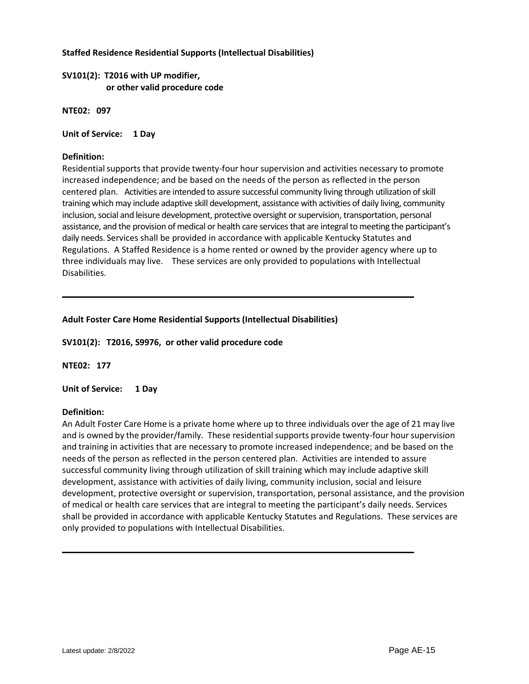# **Staffed Residence Residential Supports (Intellectual Disabilities)**

**SV101(2): T2016 with UP modifier, or other valid procedure code**

**NTE02: 097**

# **Unit of Service: 1 Day**

# **Definition:**

Residential supports that provide twenty-four hour supervision and activities necessary to promote increased independence; and be based on the needs of the person as reflected in the person centered plan. Activities are intended to assure successful community living through utilization of skill training which may include adaptive skill development, assistance with activities of daily living, community inclusion, social and leisure development, protective oversight or supervision, transportation, personal assistance, and the provision of medical or health care services that are integral to meeting the participant's daily needs. Services shall be provided in accordance with applicable Kentucky Statutes and Regulations. A Staffed Residence is a home rented or owned by the provider agency where up to three individuals may live. These services are only provided to populations with Intellectual Disabilities.

# **Adult Foster Care Home Residential Supports (Intellectual Disabilities)**

**SV101(2): T2016, S9976, or other valid procedure code**

# **NTE02: 177**

**Unit of Service: 1 Day**

#### **Definition:**

An Adult Foster Care Home is a private home where up to three individuals over the age of 21 may live and is owned by the provider/family. These residential supports provide twenty-four hour supervision and training in activities that are necessary to promote increased independence; and be based on the needs of the person as reflected in the person centered plan. Activities are intended to assure successful community living through utilization of skill training which may include adaptive skill development, assistance with activities of daily living, community inclusion, social and leisure development, protective oversight or supervision, transportation, personal assistance, and the provision of medical or health care services that are integral to meeting the participant's daily needs. Services shall be provided in accordance with applicable Kentucky Statutes and Regulations. These services are only provided to populations with Intellectual Disabilities.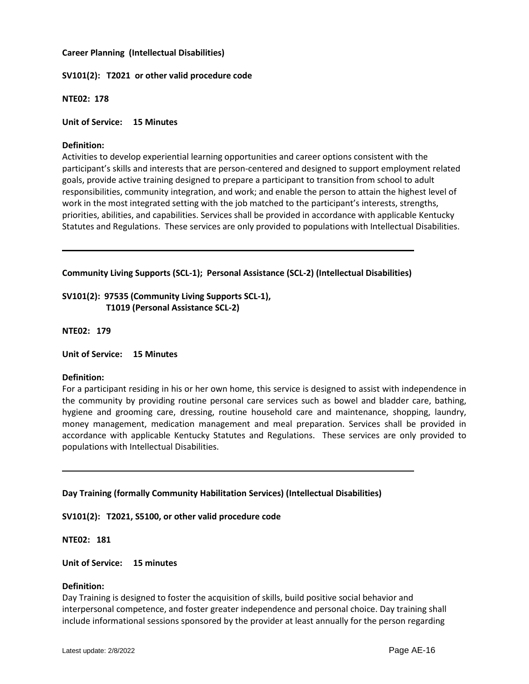# **Career Planning (Intellectual Disabilities)**

# **SV101(2): T2021 or other valid procedure code**

**NTE02: 178**

**Unit of Service: 15 Minutes**

## **Definition:**

Activities to develop experiential learning opportunities and career options consistent with the participant's skills and interests that are person-centered and designed to support employment related goals, provide active training designed to prepare a participant to transition from school to adult responsibilities, community integration, and work; and enable the person to attain the highest level of work in the most integrated setting with the job matched to the participant's interests, strengths, priorities, abilities, and capabilities. Services shall be provided in accordance with applicable Kentucky Statutes and Regulations. These services are only provided to populations with Intellectual Disabilities.

**Community Living Supports (SCL-1); Personal Assistance (SCL-2) (Intellectual Disabilities)**

**SV101(2): 97535 (Community Living Supports SCL-1), T1019 (Personal Assistance SCL-2)**

**NTE02: 179**

**Unit of Service: 15 Minutes**

#### **Definition:**

For a participant residing in his or her own home, this service is designed to assist with independence in the community by providing routine personal care services such as bowel and bladder care, bathing, hygiene and grooming care, dressing, routine household care and maintenance, shopping, laundry, money management, medication management and meal preparation. Services shall be provided in accordance with applicable Kentucky Statutes and Regulations. These services are only provided to populations with Intellectual Disabilities.

**Day Training (formally Community Habilitation Services) (Intellectual Disabilities)**

**SV101(2): T2021, S5100, or other valid procedure code**

**NTE02: 181**

**Unit of Service: 15 minutes**

#### **Definition:**

Day Training is designed to foster the acquisition of skills, build positive social behavior and interpersonal competence, and foster greater independence and personal choice. Day training shall include informational sessions sponsored by the provider at least annually for the person regarding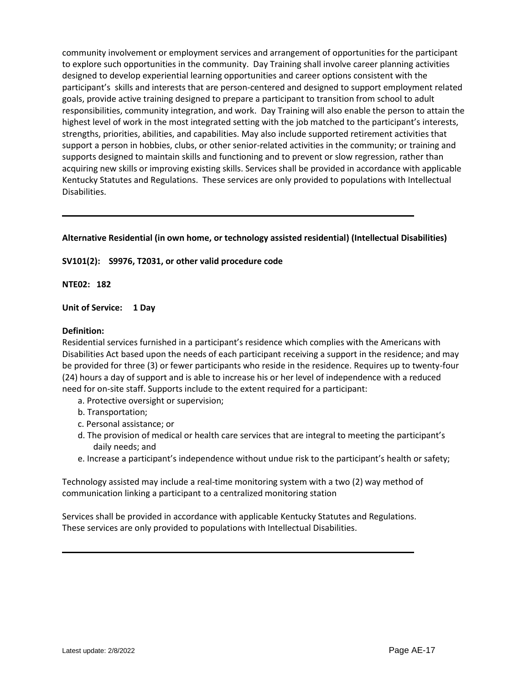community involvement or employment services and arrangement of opportunities for the participant to explore such opportunities in the community. Day Training shall involve career planning activities designed to develop experiential learning opportunities and career options consistent with the participant's skills and interests that are person-centered and designed to support employment related goals, provide active training designed to prepare a participant to transition from school to adult responsibilities, community integration, and work. Day Training will also enable the person to attain the highest level of work in the most integrated setting with the job matched to the participant's interests, strengths, priorities, abilities, and capabilities. May also include supported retirement activities that support a person in hobbies, clubs, or other senior-related activities in the community; or training and supports designed to maintain skills and functioning and to prevent or slow regression, rather than acquiring new skills or improving existing skills. Services shall be provided in accordance with applicable Kentucky Statutes and Regulations. These services are only provided to populations with Intellectual Disabilities.

# **Alternative Residential (in own home, or technology assisted residential) (Intellectual Disabilities)**

# **SV101(2): S9976, T2031, or other valid procedure code**

**NTE02: 182**

**Unit of Service: 1 Day**

#### **Definition:**

Residential services furnished in a participant's residence which complies with the Americans with Disabilities Act based upon the needs of each participant receiving a support in the residence; and may be provided for three (3) or fewer participants who reside in the residence. Requires up to twenty-four (24) hours a day of support and is able to increase his or her level of independence with a reduced need for on-site staff. Supports include to the extent required for a participant:

- a. Protective oversight or supervision;
- b. Transportation;
- c. Personal assistance; or
- d. The provision of medical or health care services that are integral to meeting the participant's daily needs; and
- e. Increase a participant's independence without undue risk to the participant's health or safety;

Technology assisted may include a real-time monitoring system with a two (2) way method of communication linking a participant to a centralized monitoring station

Services shall be provided in accordance with applicable Kentucky Statutes and Regulations. These services are only provided to populations with Intellectual Disabilities.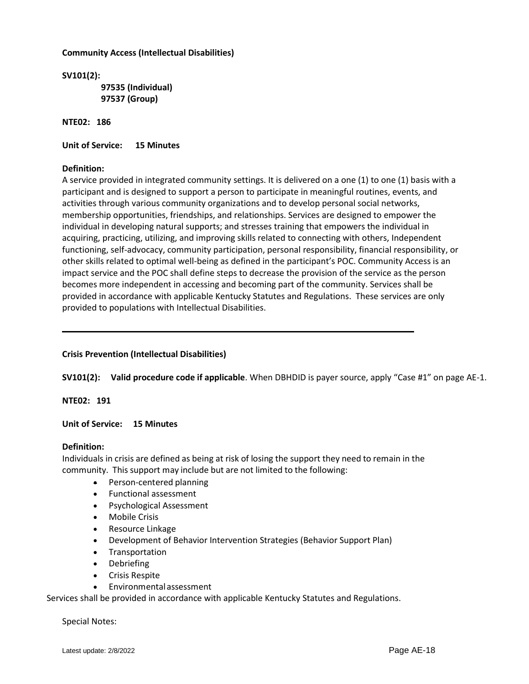# **Community Access (Intellectual Disabilities)**

**SV101(2): 97535 (Individual) 97537 (Group)** 

**NTE02: 186**

**Unit of Service: 15 Minutes**

# **Definition:**

A service provided in integrated community settings. It is delivered on a one (1) to one (1) basis with a participant and is designed to support a person to participate in meaningful routines, events, and activities through various community organizations and to develop personal social networks, membership opportunities, friendships, and relationships. Services are designed to empower the individual in developing natural supports; and stresses training that empowers the individual in acquiring, practicing, utilizing, and improving skills related to connecting with others, Independent functioning, self-advocacy, community participation, personal responsibility, financial responsibility, or other skills related to optimal well-being as defined in the participant's POC. Community Access is an impact service and the POC shall define steps to decrease the provision of the service as the person becomes more independent in accessing and becoming part of the community. Services shall be provided in accordance with applicable Kentucky Statutes and Regulations. These services are only provided to populations with Intellectual Disabilities.

# **Crisis Prevention (Intellectual Disabilities)**

**SV101(2): Valid procedure code if applicable**. When DBHDID is payer source, apply "Case #1" on page AE-1.

**NTE02: 191**

**Unit of Service: 15 Minutes**

#### **Definition:**

Individuals in crisis are defined as being at risk of losing the support they need to remain in the community. This support may include but are not limited to the following:

- **◆** Person-centered planning
- Functional assessment
- Psychological Assessment
- Mobile Crisis
- Resource Linkage
- Development of Behavior Intervention Strategies (Behavior Support Plan)
- Transportation
- Debriefing
- Crisis Respite
- Environmentalassessment

Services shall be provided in accordance with applicable Kentucky Statutes and Regulations.

Special Notes: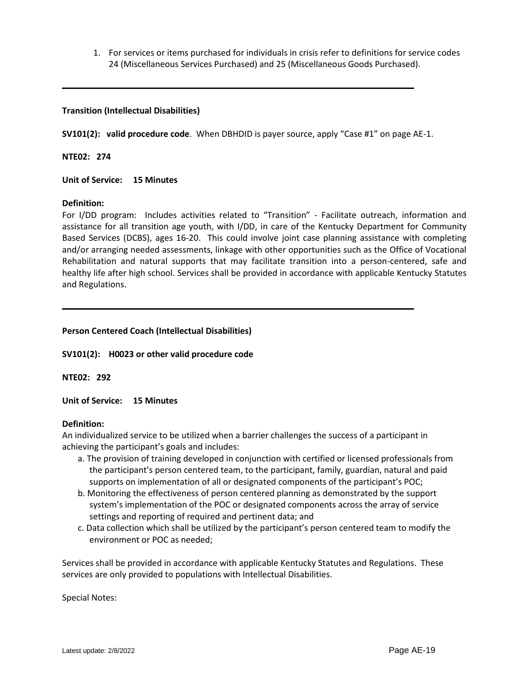1. For services or items purchased for individuals in crisis refer to definitions for service codes 24 (Miscellaneous Services Purchased) and 25 (Miscellaneous Goods Purchased).

# **Transition (Intellectual Disabilities)**

**SV101(2): valid procedure code**. When DBHDID is payer source, apply "Case #1" on page AE-1.

**NTE02: 274**

**Unit of Service: 15 Minutes**

#### **Definition:**

For I/DD program: Includes activities related to "Transition" - Facilitate outreach, information and assistance for all transition age youth, with I/DD, in care of the Kentucky Department for Community Based Services (DCBS), ages 16-20. This could involve joint case planning assistance with completing and/or arranging needed assessments, linkage with other opportunities such as the Office of Vocational Rehabilitation and natural supports that may facilitate transition into a person-centered, safe and healthy life after high school. Services shall be provided in accordance with applicable Kentucky Statutes and Regulations.

# **Person Centered Coach (Intellectual Disabilities)**

**SV101(2): H0023 or other valid procedure code**

**NTE02: 292**

**Unit of Service: 15 Minutes**

#### **Definition:**

An individualized service to be utilized when a barrier challenges the success of a participant in achieving the participant's goals and includes:

- a. The provision of training developed in conjunction with certified or licensed professionals from the participant's person centered team, to the participant, family, guardian, natural and paid supports on implementation of all or designated components of the participant's POC;
- b. Monitoring the effectiveness of person centered planning as demonstrated by the support system's implementation of the POC or designated components across the array of service settings and reporting of required and pertinent data; and
- c. Data collection which shall be utilized by the participant's person centered team to modify the environment or POC as needed;

Services shall be provided in accordance with applicable Kentucky Statutes and Regulations. These services are only provided to populations with Intellectual Disabilities.

Special Notes: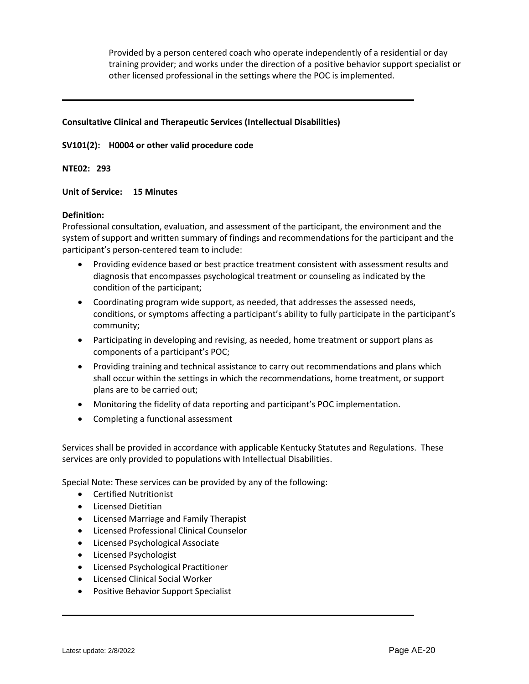Provided by a person centered coach who operate independently of a residential or day training provider; and works under the direction of a positive behavior support specialist or other licensed professional in the settings where the POC is implemented.

# **Consultative Clinical and Therapeutic Services (Intellectual Disabilities)**

# **SV101(2): H0004 or other valid procedure code**

**NTE02: 293**

# **Unit of Service: 15 Minutes**

#### **Definition:**

Professional consultation, evaluation, and assessment of the participant, the environment and the system of support and written summary of findings and recommendations for the participant and the participant's person-centered team to include:

- Providing evidence based or best practice treatment consistent with assessment results and diagnosis that encompasses psychological treatment or counseling as indicated by the condition of the participant;
- Coordinating program wide support, as needed, that addresses the assessed needs, conditions, or symptoms affecting a participant's ability to fully participate in the participant's community;
- Participating in developing and revising, as needed, home treatment or support plans as components of a participant's POC;
- Providing training and technical assistance to carry out recommendations and plans which shall occur within the settings in which the recommendations, home treatment, or support plans are to be carried out;
- Monitoring the fidelity of data reporting and participant's POC implementation.
- Completing a functional assessment

Services shall be provided in accordance with applicable Kentucky Statutes and Regulations. These services are only provided to populations with Intellectual Disabilities.

Special Note: These services can be provided by any of the following:

- Certified Nutritionist
- **•** Licensed Dietitian
- Licensed Marriage and Family Therapist
- Licensed Professional Clinical Counselor
- Licensed Psychological Associate
- Licensed Psychologist
- Licensed Psychological Practitioner
- Licensed Clinical Social Worker
- Positive Behavior Support Specialist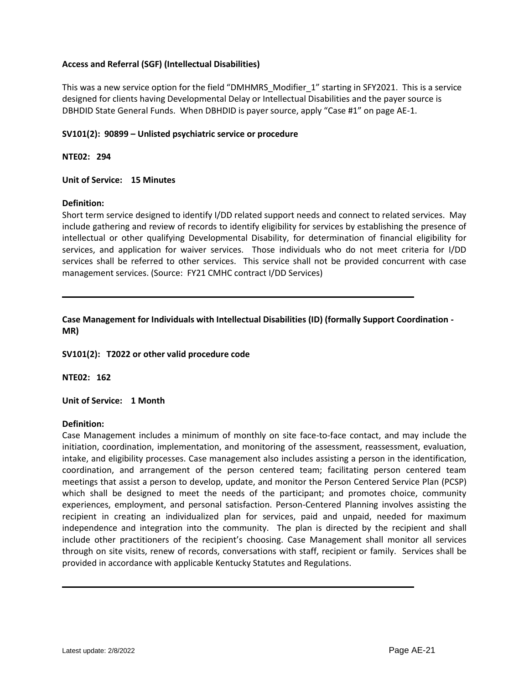# **Access and Referral (SGF) (Intellectual Disabilities)**

This was a new service option for the field "DMHMRS\_Modifier\_1" starting in SFY2021. This is a service designed for clients having Developmental Delay or Intellectual Disabilities and the payer source is DBHDID State General Funds. When DBHDID is payer source, apply "Case #1" on page AE-1.

# **SV101(2): 90899 – Unlisted psychiatric service or procedure**

**NTE02: 294**

# **Unit of Service: 15 Minutes**

# **Definition:**

Short term service designed to identify I/DD related support needs and connect to related services. May include gathering and review of records to identify eligibility for services by establishing the presence of intellectual or other qualifying Developmental Disability, for determination of financial eligibility for services, and application for waiver services. Those individuals who do not meet criteria for I/DD services shall be referred to other services. This service shall not be provided concurrent with case management services. (Source: FY21 CMHC contract I/DD Services)

**Case Management for Individuals with Intellectual Disabilities (ID) (formally Support Coordination - MR)**

#### **SV101(2): T2022 or other valid procedure code**

**NTE02: 162**

#### **Unit of Service: 1 Month**

#### **Definition:**

Case Management includes a minimum of monthly on site face-to-face contact, and may include the initiation, coordination, implementation, and monitoring of the assessment, reassessment, evaluation, intake, and eligibility processes. Case management also includes assisting a person in the identification, coordination, and arrangement of the person centered team; facilitating person centered team meetings that assist a person to develop, update, and monitor the Person Centered Service Plan (PCSP) which shall be designed to meet the needs of the participant; and promotes choice, community experiences, employment, and personal satisfaction. Person-Centered Planning involves assisting the recipient in creating an individualized plan for services, paid and unpaid, needed for maximum independence and integration into the community. The plan is directed by the recipient and shall include other practitioners of the recipient's choosing. Case Management shall monitor all services through on site visits, renew of records, conversations with staff, recipient or family. Services shall be provided in accordance with applicable Kentucky Statutes and Regulations.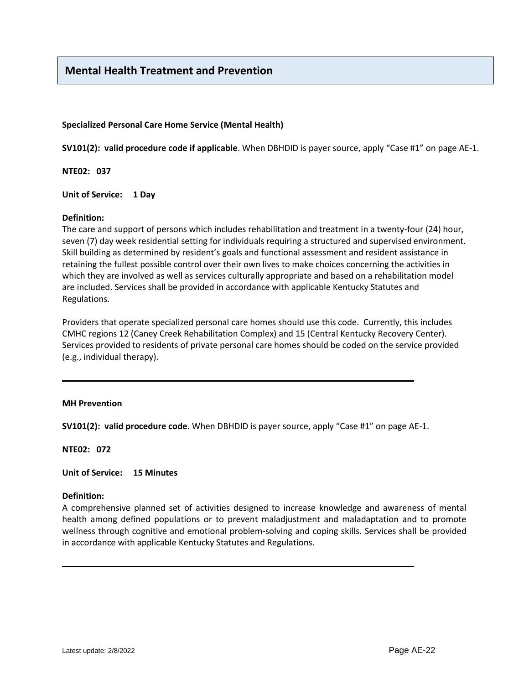# **Mental Health Treatment and Prevention**

# **Specialized Personal Care Home Service (Mental Health)**

**SV101(2): valid procedure code if applicable**. When DBHDID is payer source, apply "Case #1" on page AE-1.

**NTE02: 037**

**Unit of Service: 1 Day**

#### **Definition:**

The care and support of persons which includes rehabilitation and treatment in a twenty-four (24) hour, seven (7) day week residential setting for individuals requiring a structured and supervised environment. Skill building as determined by resident's goals and functional assessment and resident assistance in retaining the fullest possible control over their own lives to make choices concerning the activities in which they are involved as well as services culturally appropriate and based on a rehabilitation model are included. Services shall be provided in accordance with applicable Kentucky Statutes and Regulations.

Providers that operate specialized personal care homes should use this code. Currently, this includes CMHC regions 12 (Caney Creek Rehabilitation Complex) and 15 (Central Kentucky Recovery Center). Services provided to residents of private personal care homes should be coded on the service provided (e.g., individual therapy).

#### **MH Prevention**

**SV101(2): valid procedure code**. When DBHDID is payer source, apply "Case #1" on page AE-1.

**NTE02: 072**

**Unit of Service: 15 Minutes**

#### **Definition:**

A comprehensive planned set of activities designed to increase knowledge and awareness of mental health among defined populations or to prevent maladjustment and maladaptation and to promote wellness through cognitive and emotional problem-solving and coping skills. Services shall be provided in accordance with applicable Kentucky Statutes and Regulations.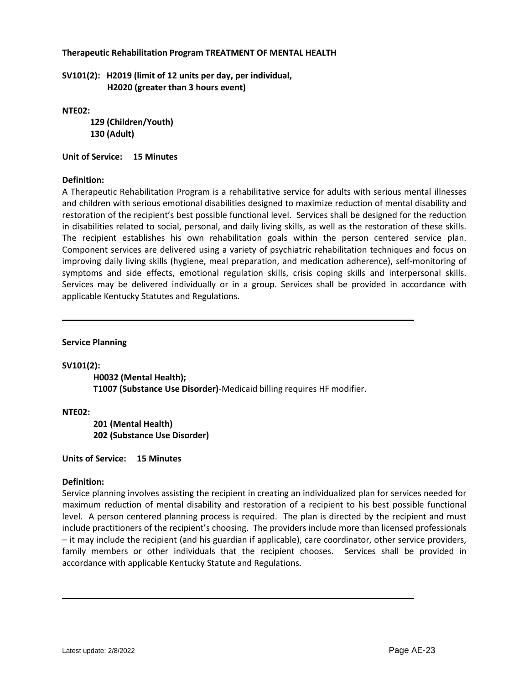# **Therapeutic Rehabilitation Program TREATMENT OF MENTAL HEALTH**

**SV101(2): H2019 (limit of 12 units per day, per individual, H2020 (greater than 3 hours event)** 

**NTE02:** 

 **129 (Children/Youth) 130 (Adult)**

**Unit of Service: 15 Minutes**

# **Definition:**

A Therapeutic Rehabilitation Program is a rehabilitative service for adults with serious mental illnesses and children with serious emotional disabilities designed to maximize reduction of mental disability and restoration of the recipient's best possible functional level. Services shall be designed for the reduction in disabilities related to social, personal, and daily living skills, as well as the restoration of these skills. The recipient establishes his own rehabilitation goals within the person centered service plan. Component services are delivered using a variety of psychiatric rehabilitation techniques and focus on improving daily living skills (hygiene, meal preparation, and medication adherence), self-monitoring of symptoms and side effects, emotional regulation skills, crisis coping skills and interpersonal skills. Services may be delivered individually or in a group. Services shall be provided in accordance with applicable Kentucky Statutes and Regulations.

**Service Planning**

#### **SV101(2):**

**H0032 (Mental Health); T1007 (Substance Use Disorder)**-Medicaid billing requires HF modifier.

**NTE02:**

**201 (Mental Health) 202 (Substance Use Disorder)**

**Units of Service: 15 Minutes**

# **Definition:**

Service planning involves assisting the recipient in creating an individualized plan for services needed for maximum reduction of mental disability and restoration of a recipient to his best possible functional level. A person centered planning process is required. The plan is directed by the recipient and must include practitioners of the recipient's choosing. The providers include more than licensed professionals – it may include the recipient (and his guardian if applicable), care coordinator, other service providers, family members or other individuals that the recipient chooses. Services shall be provided in accordance with applicable Kentucky Statute and Regulations.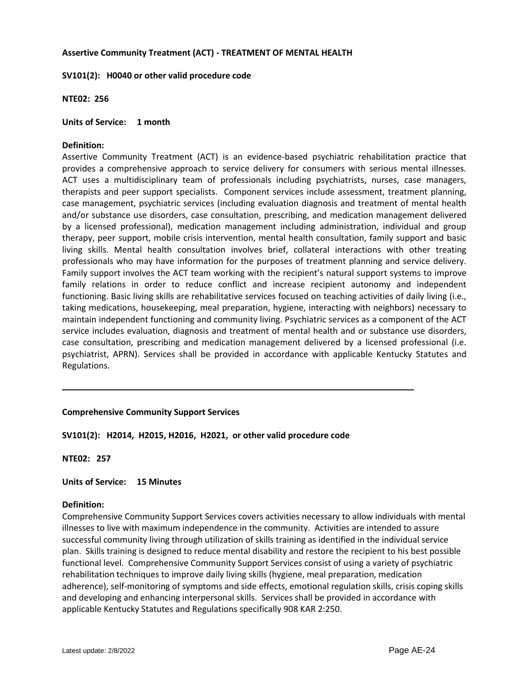# **Assertive Community Treatment (ACT) - TREATMENT OF MENTAL HEALTH**

**SV101(2): H0040 or other valid procedure code**

**NTE02: 256**

**Units of Service: 1 month**

# **Definition:**

Assertive Community Treatment (ACT) is an evidence-based psychiatric rehabilitation practice that provides a comprehensive approach to service delivery for consumers with serious mental illnesses. ACT uses a multidisciplinary team of professionals including psychiatrists, nurses, case managers, therapists and peer support specialists. Component services include assessment, treatment planning, case management, psychiatric services (including evaluation diagnosis and treatment of mental health and/or substance use disorders, case consultation, prescribing, and medication management delivered by a licensed professional), medication management including administration, individual and group therapy, peer support, mobile crisis intervention, mental health consultation, family support and basic living skills. Mental health consultation involves brief, collateral interactions with other treating professionals who may have information for the purposes of treatment planning and service delivery. Family support involves the ACT team working with the recipient's natural support systems to improve family relations in order to reduce conflict and increase recipient autonomy and independent functioning. Basic living skills are rehabilitative services focused on teaching activities of daily living (i.e., taking medications, housekeeping, meal preparation, hygiene, interacting with neighbors) necessary to maintain independent functioning and community living. Psychiatric services as a component of the ACT service includes evaluation, diagnosis and treatment of mental health and or substance use disorders, case consultation, prescribing and medication management delivered by a licensed professional (i.e. psychiatrist, APRN). Services shall be provided in accordance with applicable Kentucky Statutes and Regulations.

# **Comprehensive Community Support Services**

# **SV101(2): H2014, H2015, H2016, H2021, or other valid procedure code**

**NTE02: 257**

#### **Units of Service: 15 Minutes**

#### **Definition:**

Comprehensive Community Support Services covers activities necessary to allow individuals with mental illnesses to live with maximum independence in the community. Activities are intended to assure successful community living through utilization of skills training as identified in the individual service plan. Skills training is designed to reduce mental disability and restore the recipient to his best possible functional level. Comprehensive Community Support Services consist of using a variety of psychiatric rehabilitation techniques to improve daily living skills (hygiene, meal preparation, medication adherence), self-monitoring of symptoms and side effects, emotional regulation skills, crisis coping skills and developing and enhancing interpersonal skills. Services shall be provided in accordance with applicable Kentucky Statutes and Regulations specifically 908 KAR 2:250.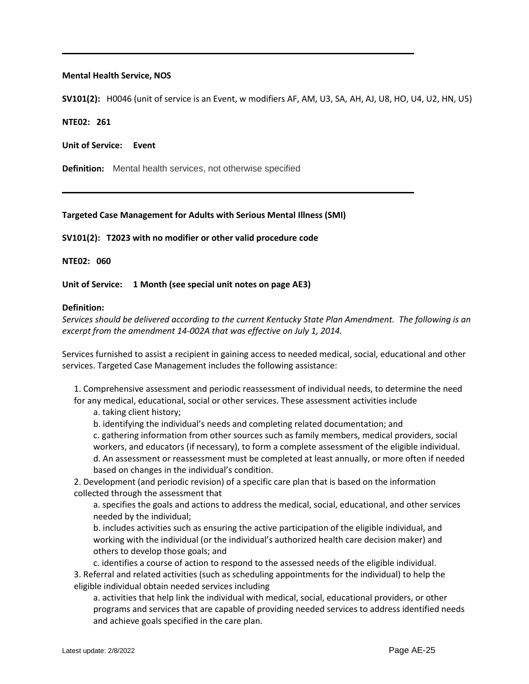## **Mental Health Service, NOS**

**SV101(2):** H0046 (unit of service is an Event, w modifiers AF, AM, U3, SA, AH, AJ, U8, HO, U4, U2, HN, U5)

**NTE02: 261**

**Unit of Service: Event**

**Definition:** Mental health services, not otherwise specified

# **Targeted Case Management for Adults with Serious Mental Illness (SMI)**

**SV101(2): T2023 with no modifier or other valid procedure code**

**NTE02: 060**

**Unit of Service: 1 Month (see special unit notes on page AE3)**

#### **Definition:**

*Services should be delivered according to the current Kentucky State Plan Amendment. The following is an excerpt from the amendment 14-002A that was effective on July 1, 2014.* 

Services furnished to assist a recipient in gaining access to needed medical, social, educational and other services. Targeted Case Management includes the following assistance:

1. Comprehensive assessment and periodic reassessment of individual needs, to determine the need for any medical, educational, social or other services. These assessment activities include

a. taking client history;

b. identifying the individual's needs and completing related documentation; and

c. gathering information from other sources such as family members, medical providers, social workers, and educators (if necessary), to form a complete assessment of the eligible individual. d. An assessment or reassessment must be completed at least annually, or more often if needed based on changes in the individual's condition.

2. Development (and periodic revision) of a specific care plan that is based on the information collected through the assessment that

a. specifies the goals and actions to address the medical, social, educational, and other services needed by the individual;

b. includes activities such as ensuring the active participation of the eligible individual, and working with the individual (or the individual's authorized health care decision maker) and others to develop those goals; and

c. identifies a course of action to respond to the assessed needs of the eligible individual. 3. Referral and related activities (such as scheduling appointments for the individual) to help the eligible individual obtain needed services including

a. activities that help link the individual with medical, social, educational providers, or other programs and services that are capable of providing needed services to address identified needs and achieve goals specified in the care plan.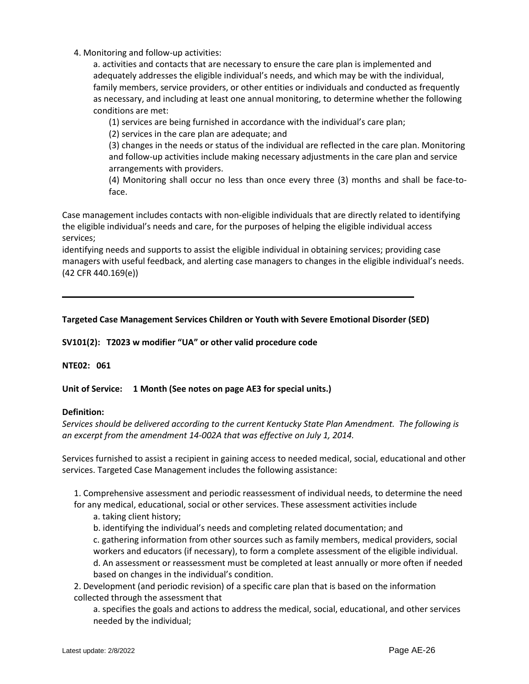4. Monitoring and follow-up activities:

a. activities and contacts that are necessary to ensure the care plan is implemented and adequately addresses the eligible individual's needs, and which may be with the individual, family members, service providers, or other entities or individuals and conducted as frequently as necessary, and including at least one annual monitoring, to determine whether the following conditions are met:

(1) services are being furnished in accordance with the individual's care plan;

(2) services in the care plan are adequate; and

(3) changes in the needs or status of the individual are reflected in the care plan. Monitoring and follow-up activities include making necessary adjustments in the care plan and service arrangements with providers.

(4) Monitoring shall occur no less than once every three (3) months and shall be face-toface.

Case management includes contacts with non-eligible individuals that are directly related to identifying the eligible individual's needs and care, for the purposes of helping the eligible individual access services;

identifying needs and supports to assist the eligible individual in obtaining services; providing case managers with useful feedback, and alerting case managers to changes in the eligible individual's needs. (42 CFR 440.169(e))

# **Targeted Case Management Services Children or Youth with Severe Emotional Disorder (SED)**

**SV101(2): T2023 w modifier "UA" or other valid procedure code**

# **NTE02: 061**

**Unit of Service: 1 Month (See notes on page AE3 for special units.)**

#### **Definition:**

*Services should be delivered according to the current Kentucky State Plan Amendment. The following is an excerpt from the amendment 14-002A that was effective on July 1, 2014.* 

Services furnished to assist a recipient in gaining access to needed medical, social, educational and other services. Targeted Case Management includes the following assistance:

1. Comprehensive assessment and periodic reassessment of individual needs, to determine the need for any medical, educational, social or other services. These assessment activities include

a. taking client history;

b. identifying the individual's needs and completing related documentation; and c. gathering information from other sources such as family members, medical providers, social workers and educators (if necessary), to form a complete assessment of the eligible individual. d. An assessment or reassessment must be completed at least annually or more often if needed based on changes in the individual's condition.

2. Development (and periodic revision) of a specific care plan that is based on the information collected through the assessment that

a. specifies the goals and actions to address the medical, social, educational, and other services needed by the individual;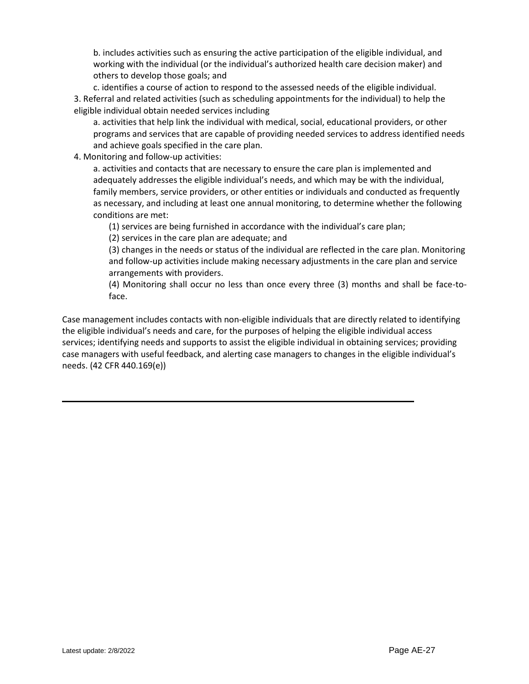b. includes activities such as ensuring the active participation of the eligible individual, and working with the individual (or the individual's authorized health care decision maker) and others to develop those goals; and

c. identifies a course of action to respond to the assessed needs of the eligible individual. 3. Referral and related activities (such as scheduling appointments for the individual) to help the eligible individual obtain needed services including

a. activities that help link the individual with medical, social, educational providers, or other programs and services that are capable of providing needed services to address identified needs and achieve goals specified in the care plan.

4. Monitoring and follow-up activities:

a. activities and contacts that are necessary to ensure the care plan is implemented and adequately addresses the eligible individual's needs, and which may be with the individual, family members, service providers, or other entities or individuals and conducted as frequently as necessary, and including at least one annual monitoring, to determine whether the following conditions are met:

(1) services are being furnished in accordance with the individual's care plan;

(2) services in the care plan are adequate; and

(3) changes in the needs or status of the individual are reflected in the care plan. Monitoring and follow-up activities include making necessary adjustments in the care plan and service arrangements with providers.

(4) Monitoring shall occur no less than once every three (3) months and shall be face-toface.

Case management includes contacts with non-eligible individuals that are directly related to identifying the eligible individual's needs and care, for the purposes of helping the eligible individual access services; identifying needs and supports to assist the eligible individual in obtaining services; providing case managers with useful feedback, and alerting case managers to changes in the eligible individual's needs. (42 CFR 440.169(e))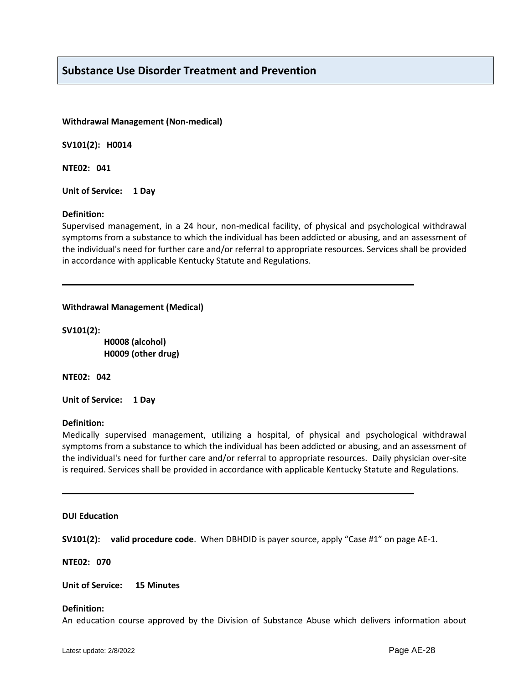# **Substance Use Disorder Treatment and Prevention**

#### **Withdrawal Management (Non-medical)**

**SV101(2): H0014** 

**NTE02: 041**

**Unit of Service: 1 Day**

#### **Definition:**

Supervised management, in a 24 hour, non-medical facility, of physical and psychological withdrawal symptoms from a substance to which the individual has been addicted or abusing, and an assessment of the individual's need for further care and/or referral to appropriate resources. Services shall be provided in accordance with applicable Kentucky Statute and Regulations.

# **Withdrawal Management (Medical)**

**SV101(2):** 

 **H0008 (alcohol) H0009 (other drug)**

**NTE02: 042**

**Unit of Service: 1 Day**

#### **Definition:**

Medically supervised management, utilizing a hospital, of physical and psychological withdrawal symptoms from a substance to which the individual has been addicted or abusing, and an assessment of the individual's need for further care and/or referral to appropriate resources. Daily physician over-site is required. Services shall be provided in accordance with applicable Kentucky Statute and Regulations.

#### **DUI Education**

**SV101(2): valid procedure code**. When DBHDID is payer source, apply "Case #1" on page AE-1.

**NTE02: 070**

#### **Unit of Service: 15 Minutes**

#### **Definition:**

An education course approved by the Division of Substance Abuse which delivers information about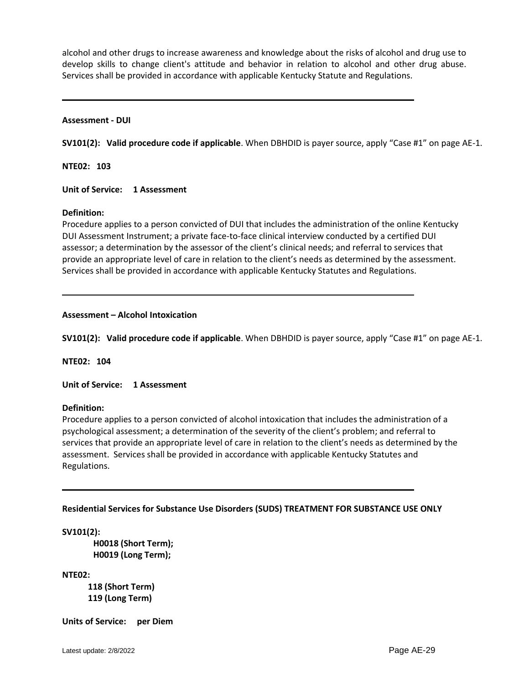alcohol and other drugs to increase awareness and knowledge about the risks of alcohol and drug use to develop skills to change client's attitude and behavior in relation to alcohol and other drug abuse. Services shall be provided in accordance with applicable Kentucky Statute and Regulations.

#### **Assessment - DUI**

**SV101(2): Valid procedure code if applicable**. When DBHDID is payer source, apply "Case #1" on page AE-1.

**NTE02: 103**

**Unit of Service: 1 Assessment**

#### **Definition:**

Procedure applies to a person convicted of DUI that includes the administration of the online Kentucky DUI Assessment Instrument; a private face-to-face clinical interview conducted by a certified DUI assessor; a determination by the assessor of the client's clinical needs; and referral to services that provide an appropriate level of care in relation to the client's needs as determined by the assessment. Services shall be provided in accordance with applicable Kentucky Statutes and Regulations.

#### **Assessment – Alcohol Intoxication**

**SV101(2): Valid procedure code if applicable**. When DBHDID is payer source, apply "Case #1" on page AE-1.

**NTE02: 104**

**Unit of Service: 1 Assessment**

**Definition:**

Procedure applies to a person convicted of alcohol intoxication that includes the administration of a psychological assessment; a determination of the severity of the client's problem; and referral to services that provide an appropriate level of care in relation to the client's needs as determined by the assessment. Services shall be provided in accordance with applicable Kentucky Statutes and Regulations.

#### **Residential Services for Substance Use Disorders (SUDS) TREATMENT FOR SUBSTANCE USE ONLY**

**SV101(2):**

**H0018 (Short Term); H0019 (Long Term);**

**NTE02:** 

 **118 (Short Term) 119 (Long Term)**

**Units of Service: per Diem**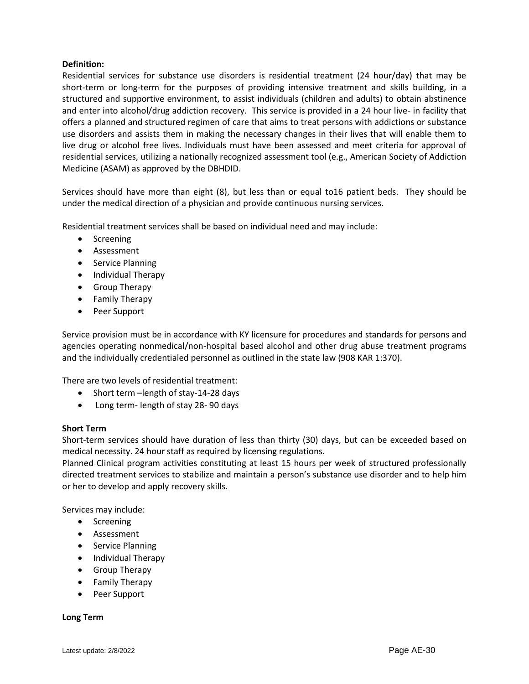Residential services for substance use disorders is residential treatment (24 hour/day) that may be short-term or long-term for the purposes of providing intensive treatment and skills building, in a structured and supportive environment, to assist individuals (children and adults) to obtain abstinence and enter into alcohol/drug addiction recovery. This service is provided in a 24 hour live- in facility that offers a planned and structured regimen of care that aims to treat persons with addictions or substance use disorders and assists them in making the necessary changes in their lives that will enable them to live drug or alcohol free lives. Individuals must have been assessed and meet criteria for approval of residential services, utilizing a nationally recognized assessment tool (e.g., American Society of Addiction Medicine (ASAM) as approved by the DBHDID.

Services should have more than eight (8), but less than or equal to16 patient beds. They should be under the medical direction of a physician and provide continuous nursing services.

Residential treatment services shall be based on individual need and may include:

- Screening
- Assessment
- Service Planning
- Individual Therapy
- Group Therapy
- Family Therapy
- Peer Support

Service provision must be in accordance with KY licensure for procedures and standards for persons and agencies operating nonmedical/non-hospital based alcohol and other drug abuse treatment programs and the individually credentialed personnel as outlined in the state law (908 KAR 1:370).

There are two levels of residential treatment:

- Short term –length of stay-14-28 days
- Long term- length of stay 28-90 days

# **Short Term**

Short-term services should have duration of less than thirty (30) days, but can be exceeded based on medical necessity. 24 hour staff as required by licensing regulations.

Planned Clinical program activities constituting at least 15 hours per week of structured professionally directed treatment services to stabilize and maintain a person's substance use disorder and to help him or her to develop and apply recovery skills.

Services may include:

- Screening
- Assessment
- Service Planning
- Individual Therapy
- **•** Group Therapy
- Family Therapy
- Peer Support

#### **Long Term**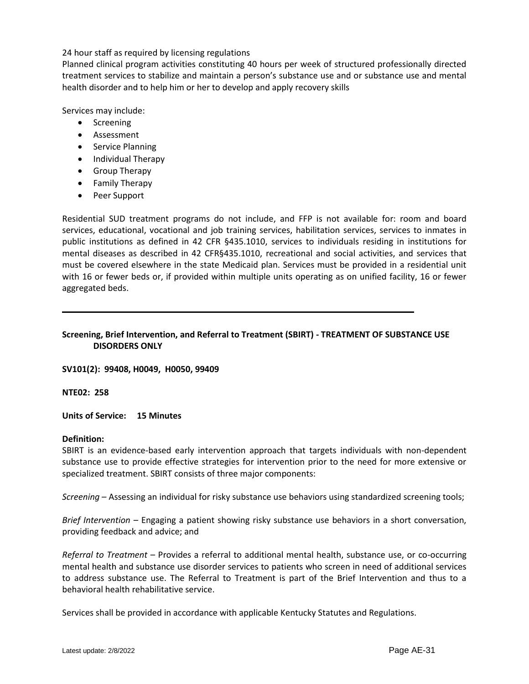24 hour staff as required by licensing regulations

Planned clinical program activities constituting 40 hours per week of structured professionally directed treatment services to stabilize and maintain a person's substance use and or substance use and mental health disorder and to help him or her to develop and apply recovery skills

Services may include:

- Screening
- Assessment
- Service Planning
- Individual Therapy
- **•** Group Therapy
- Family Therapy
- Peer Support

Residential SUD treatment programs do not include, and FFP is not available for: room and board services, educational, vocational and job training services, habilitation services, services to inmates in public institutions as defined in 42 CFR §435.1010, services to individuals residing in institutions for mental diseases as described in 42 CFR§435.1010, recreational and social activities, and services that must be covered elsewhere in the state Medicaid plan. Services must be provided in a residential unit with 16 or fewer beds or, if provided within multiple units operating as on unified facility, 16 or fewer aggregated beds.

# **Screening, Brief Intervention, and Referral to Treatment (SBIRT) - TREATMENT OF SUBSTANCE USE DISORDERS ONLY**

**SV101(2): 99408, H0049, H0050, 99409**

**NTE02: 258**

**Units of Service: 15 Minutes**

#### **Definition:**

SBIRT is an evidence-based early intervention approach that targets individuals with non-dependent substance use to provide effective strategies for intervention prior to the need for more extensive or specialized treatment. SBIRT consists of three major components:

*Screening* – Assessing an individual for risky substance use behaviors using standardized screening tools;

*Brief Intervention* – Engaging a patient showing risky substance use behaviors in a short conversation, providing feedback and advice; and

*Referral to Treatment* – Provides a referral to additional mental health, substance use, or co-occurring mental health and substance use disorder services to patients who screen in need of additional services to address substance use. The Referral to Treatment is part of the Brief Intervention and thus to a behavioral health rehabilitative service.

Services shall be provided in accordance with applicable Kentucky Statutes and Regulations.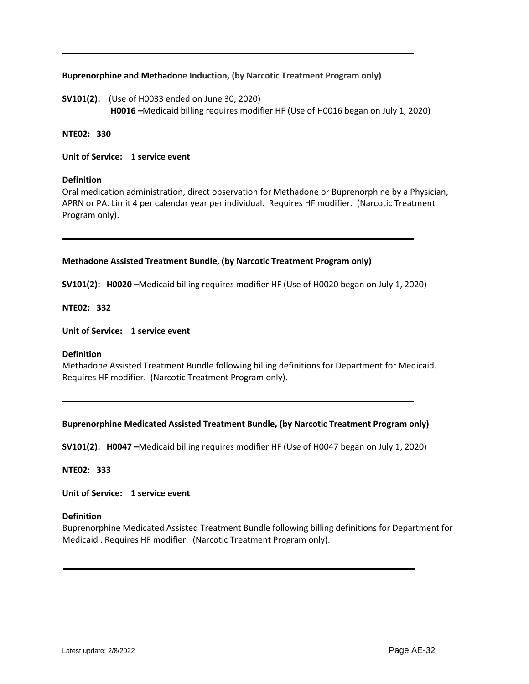# **Buprenorphine and Methadone Induction, (by Narcotic Treatment Program only)**

**SV101(2):** (Use of H0033 ended on June 30, 2020)  **H0016 –**Medicaid billing requires modifier HF (Use of H0016 began on July 1, 2020)

# **NTE02: 330**

**Unit of Service: 1 service event**

#### **Definition**

Oral medication administration, direct observation for Methadone or Buprenorphine by a Physician, APRN or PA. Limit 4 per calendar year per individual. Requires HF modifier. (Narcotic Treatment Program only).

# **Methadone Assisted Treatment Bundle, (by Narcotic Treatment Program only)**

**SV101(2): H0020 –**Medicaid billing requires modifier HF (Use of H0020 began on July 1, 2020)

**NTE02: 332**

**Unit of Service: 1 service event**

#### **Definition**

Methadone Assisted Treatment Bundle following billing definitions for Department for Medicaid. Requires HF modifier. (Narcotic Treatment Program only).

#### **Buprenorphine Medicated Assisted Treatment Bundle, (by Narcotic Treatment Program only)**

**SV101(2): H0047 –**Medicaid billing requires modifier HF (Use of H0047 began on July 1, 2020)

**NTE02: 333**

**Unit of Service: 1 service event**

#### **Definition**

Buprenorphine Medicated Assisted Treatment Bundle following billing definitions for Department for Medicaid . Requires HF modifier. (Narcotic Treatment Program only).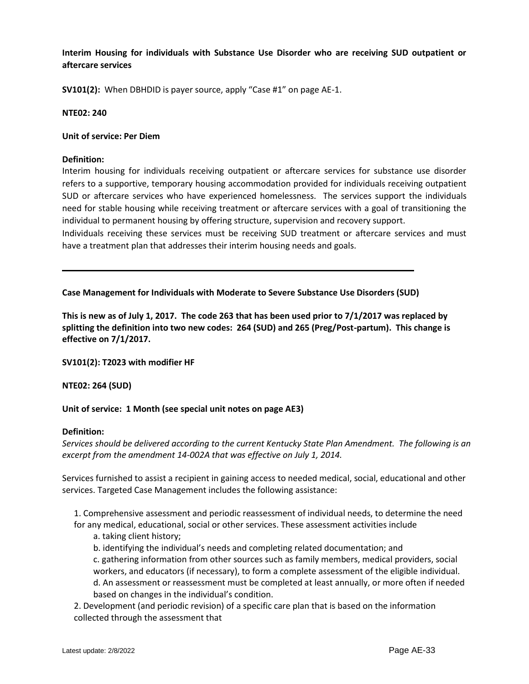**Interim Housing for individuals with Substance Use Disorder who are receiving SUD outpatient or aftercare services**

**SV101(2):** When DBHDID is payer source, apply "Case #1" on page AE-1.

## **NTE02: 240**

## **Unit of service: Per Diem**

## **Definition:**

Interim housing for individuals receiving outpatient or aftercare services for substance use disorder refers to a supportive, temporary housing accommodation provided for individuals receiving outpatient SUD or aftercare services who have experienced homelessness. The services support the individuals need for stable housing while receiving treatment or aftercare services with a goal of transitioning the individual to permanent housing by offering structure, supervision and recovery support.

Individuals receiving these services must be receiving SUD treatment or aftercare services and must have a treatment plan that addresses their interim housing needs and goals.

**Case Management for Individuals with Moderate to Severe Substance Use Disorders (SUD)** 

**This is new as of July 1, 2017. The code 263 that has been used prior to 7/1/2017 was replaced by splitting the definition into two new codes: 264 (SUD) and 265 (Preg/Post-partum). This change is effective on 7/1/2017.**

**SV101(2): T2023 with modifier HF**

#### **NTE02: 264 (SUD)**

**Unit of service: 1 Month (see special unit notes on page AE3)**

#### **Definition:**

*Services should be delivered according to the current Kentucky State Plan Amendment. The following is an excerpt from the amendment 14-002A that was effective on July 1, 2014.* 

Services furnished to assist a recipient in gaining access to needed medical, social, educational and other services. Targeted Case Management includes the following assistance:

1. Comprehensive assessment and periodic reassessment of individual needs, to determine the need for any medical, educational, social or other services. These assessment activities include

- a. taking client history;
- b. identifying the individual's needs and completing related documentation; and

c. gathering information from other sources such as family members, medical providers, social workers, and educators (if necessary), to form a complete assessment of the eligible individual. d. An assessment or reassessment must be completed at least annually, or more often if needed based on changes in the individual's condition.

2. Development (and periodic revision) of a specific care plan that is based on the information collected through the assessment that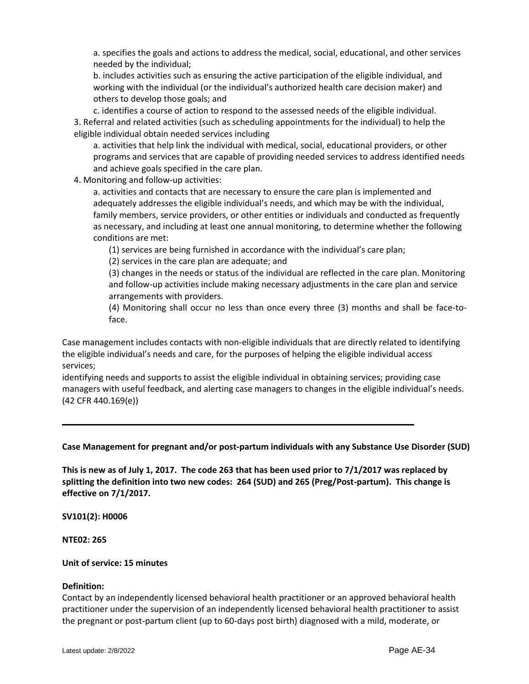a. specifies the goals and actions to address the medical, social, educational, and other services needed by the individual;

b. includes activities such as ensuring the active participation of the eligible individual, and working with the individual (or the individual's authorized health care decision maker) and others to develop those goals; and

c. identifies a course of action to respond to the assessed needs of the eligible individual. 3. Referral and related activities (such as scheduling appointments for the individual) to help the eligible individual obtain needed services including

a. activities that help link the individual with medical, social, educational providers, or other programs and services that are capable of providing needed services to address identified needs and achieve goals specified in the care plan.

4. Monitoring and follow-up activities:

a. activities and contacts that are necessary to ensure the care plan is implemented and adequately addresses the eligible individual's needs, and which may be with the individual, family members, service providers, or other entities or individuals and conducted as frequently as necessary, and including at least one annual monitoring, to determine whether the following conditions are met:

(1) services are being furnished in accordance with the individual's care plan;

(2) services in the care plan are adequate; and

(3) changes in the needs or status of the individual are reflected in the care plan. Monitoring and follow-up activities include making necessary adjustments in the care plan and service arrangements with providers.

(4) Monitoring shall occur no less than once every three (3) months and shall be face-toface.

Case management includes contacts with non-eligible individuals that are directly related to identifying the eligible individual's needs and care, for the purposes of helping the eligible individual access services;

identifying needs and supports to assist the eligible individual in obtaining services; providing case managers with useful feedback, and alerting case managers to changes in the eligible individual's needs. (42 CFR 440.169(e))

**Case Management for pregnant and/or post-partum individuals with any Substance Use Disorder (SUD)** 

**This is new as of July 1, 2017. The code 263 that has been used prior to 7/1/2017 was replaced by splitting the definition into two new codes: 264 (SUD) and 265 (Preg/Post-partum). This change is effective on 7/1/2017.** 

**SV101(2): H0006**

**NTE02: 265**

#### **Unit of service: 15 minutes**

#### **Definition:**

Contact by an independently licensed behavioral health practitioner or an approved behavioral health practitioner under the supervision of an independently licensed behavioral health practitioner to assist the pregnant or post-partum client (up to 60-days post birth) diagnosed with a mild, moderate, or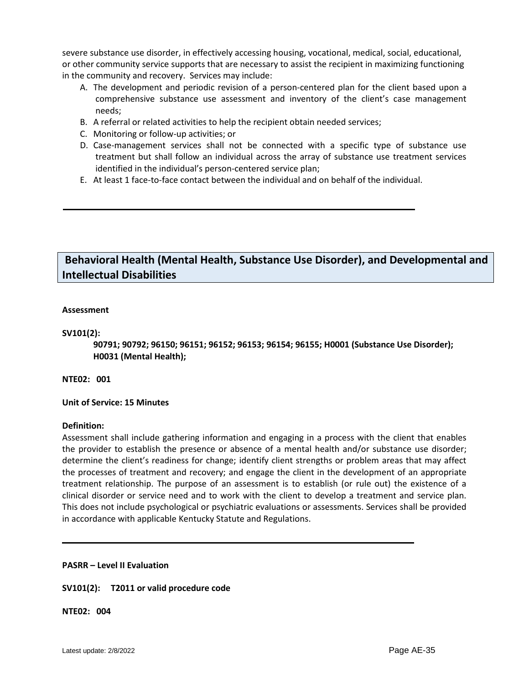severe substance use disorder, in effectively accessing housing, vocational, medical, social, educational, or other community service supports that are necessary to assist the recipient in maximizing functioning in the community and recovery. Services may include:

- A. The development and periodic revision of a person-centered plan for the client based upon a comprehensive substance use assessment and inventory of the client's case management needs;
- B. A referral or related activities to help the recipient obtain needed services;
- C. Monitoring or follow-up activities; or
- D. Case-management services shall not be connected with a specific type of substance use treatment but shall follow an individual across the array of substance use treatment services identified in the individual's person-centered service plan;
- E. At least 1 face-to-face contact between the individual and on behalf of the individual.

# **Behavioral Health (Mental Health, Substance Use Disorder), and Developmental and Intellectual Disabilities**

# **Assessment**

# **SV101(2):**

**90791; 90792; 96150; 96151; 96152; 96153; 96154; 96155; H0001 (Substance Use Disorder); H0031 (Mental Health);** 

# **NTE02: 001**

#### **Unit of Service: 15 Minutes**

#### **Definition:**

Assessment shall include gathering information and engaging in a process with the client that enables the provider to establish the presence or absence of a mental health and/or substance use disorder; determine the client's readiness for change; identify client strengths or problem areas that may affect the processes of treatment and recovery; and engage the client in the development of an appropriate treatment relationship. The purpose of an assessment is to establish (or rule out) the existence of a clinical disorder or service need and to work with the client to develop a treatment and service plan. This does not include psychological or psychiatric evaluations or assessments. Services shall be provided in accordance with applicable Kentucky Statute and Regulations.

#### **PASRR – Level II Evaluation**

# **SV101(2): T2011 or valid procedure code**

**NTE02: 004**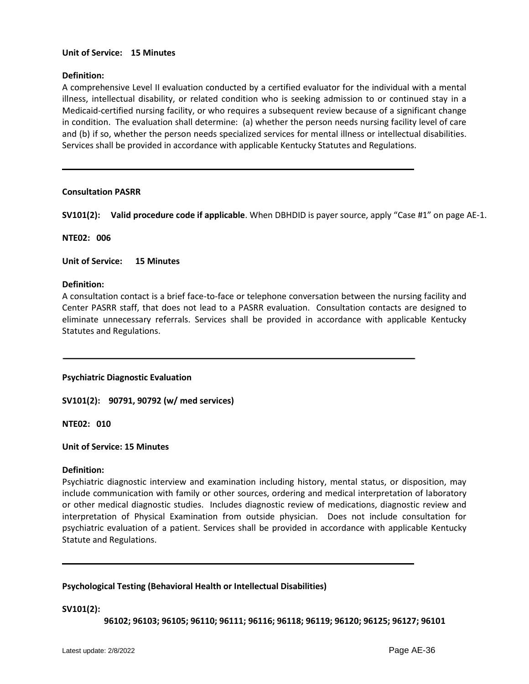# **Unit of Service: 15 Minutes**

# **Definition:**

A comprehensive Level II evaluation conducted by a certified evaluator for the individual with a mental illness, intellectual disability, or related condition who is seeking admission to or continued stay in a Medicaid-certified nursing facility, or who requires a subsequent review because of a significant change in condition. The evaluation shall determine: (a) whether the person needs nursing facility level of care and (b) if so, whether the person needs specialized services for mental illness or intellectual disabilities. Services shall be provided in accordance with applicable Kentucky Statutes and Regulations.

# **Consultation PASRR**

**SV101(2): Valid procedure code if applicable**. When DBHDID is payer source, apply "Case #1" on page AE-1.

**NTE02: 006**

**Unit of Service: 15 Minutes**

#### **Definition:**

A consultation contact is a brief face-to-face or telephone conversation between the nursing facility and Center PASRR staff, that does not lead to a PASRR evaluation. Consultation contacts are designed to eliminate unnecessary referrals. Services shall be provided in accordance with applicable Kentucky Statutes and Regulations.

**Psychiatric Diagnostic Evaluation**

**SV101(2): 90791, 90792 (w/ med services)**

**NTE02: 010**

#### **Unit of Service: 15 Minutes**

#### **Definition:**

Psychiatric diagnostic interview and examination including history, mental status, or disposition, may include communication with family or other sources, ordering and medical interpretation of laboratory or other medical diagnostic studies. Includes diagnostic review of medications, diagnostic review and interpretation of Physical Examination from outside physician. Does not include consultation for psychiatric evaluation of a patient. Services shall be provided in accordance with applicable Kentucky Statute and Regulations.

#### **Psychological Testing (Behavioral Health or Intellectual Disabilities)**

#### **SV101(2):**

**96102; 96103; 96105; 96110; 96111; 96116; 96118; 96119; 96120; 96125; 96127; 96101**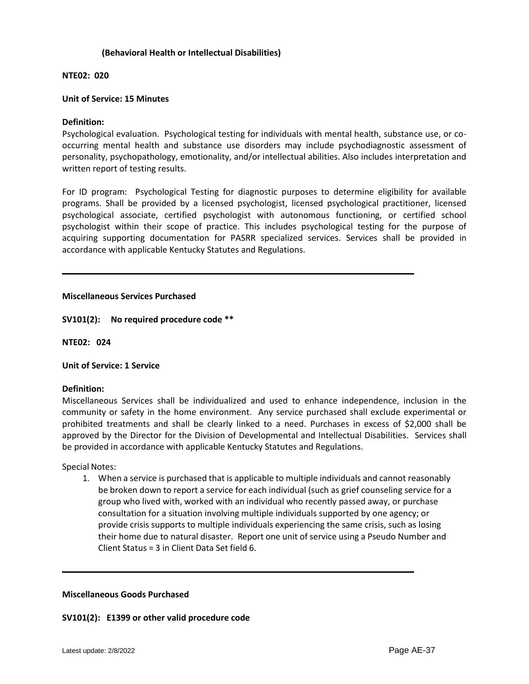# **(Behavioral Health or Intellectual Disabilities)**

# **NTE02: 020**

# **Unit of Service: 15 Minutes**

# **Definition:**

Psychological evaluation. Psychological testing for individuals with mental health, substance use, or cooccurring mental health and substance use disorders may include psychodiagnostic assessment of personality, psychopathology, emotionality, and/or intellectual abilities. Also includes interpretation and written report of testing results.

For ID program: Psychological Testing for diagnostic purposes to determine eligibility for available programs. Shall be provided by a licensed psychologist, licensed psychological practitioner, licensed psychological associate, certified psychologist with autonomous functioning, or certified school psychologist within their scope of practice. This includes psychological testing for the purpose of acquiring supporting documentation for PASRR specialized services. Services shall be provided in accordance with applicable Kentucky Statutes and Regulations.

#### **Miscellaneous Services Purchased**

**SV101(2): No required procedure code \*\*** 

**NTE02: 024**

#### **Unit of Service: 1 Service**

#### **Definition:**

Miscellaneous Services shall be individualized and used to enhance independence, inclusion in the community or safety in the home environment. Any service purchased shall exclude experimental or prohibited treatments and shall be clearly linked to a need. Purchases in excess of \$2,000 shall be approved by the Director for the Division of Developmental and Intellectual Disabilities.Services shall be provided in accordance with applicable Kentucky Statutes and Regulations.

Special Notes:

1. When a service is purchased that is applicable to multiple individuals and cannot reasonably be broken down to report a service for each individual (such as grief counseling service for a group who lived with, worked with an individual who recently passed away, or purchase consultation for a situation involving multiple individuals supported by one agency; or provide crisis supports to multiple individuals experiencing the same crisis, such as losing their home due to natural disaster. Report one unit of service using a Pseudo Number and Client Status = 3 in Client Data Set field 6.

#### **Miscellaneous Goods Purchased**

# **SV101(2): E1399 or other valid procedure code**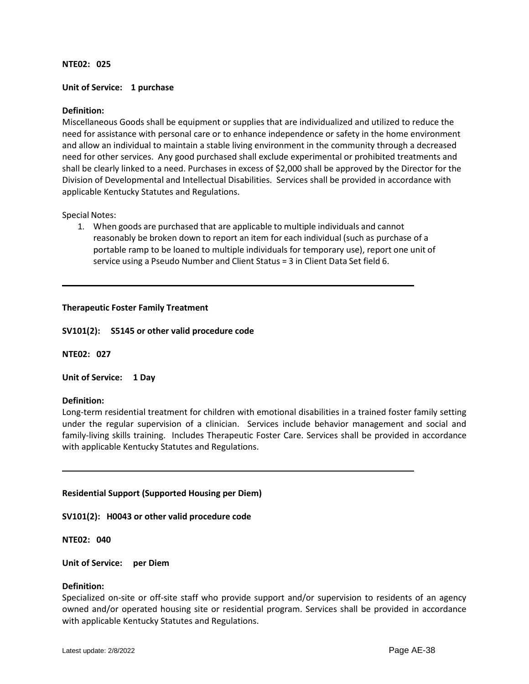## **NTE02: 025**

# **Unit of Service: 1 purchase**

# **Definition:**

Miscellaneous Goods shall be equipment or supplies that are individualized and utilized to reduce the need for assistance with personal care or to enhance independence or safety in the home environment and allow an individual to maintain a stable living environment in the community through a decreased need for other services. Any good purchased shall exclude experimental or prohibited treatments and shall be clearly linked to a need. Purchases in excess of \$2,000 shall be approved by the Director for the Division of Developmental and Intellectual Disabilities. Services shall be provided in accordance with applicable Kentucky Statutes and Regulations.

#### Special Notes:

1. When goods are purchased that are applicable to multiple individuals and cannot reasonably be broken down to report an item for each individual (such as purchase of a portable ramp to be loaned to multiple individuals for temporary use), report one unit of service using a Pseudo Number and Client Status = 3 in Client Data Set field 6.

#### **Therapeutic Foster Family Treatment**

**SV101(2): S5145 or other valid procedure code**

**NTE02: 027**

**Unit of Service: 1 Day**

#### **Definition:**

Long-term residential treatment for children with emotional disabilities in a trained foster family setting under the regular supervision of a clinician. Services include behavior management and social and family-living skills training. Includes Therapeutic Foster Care. Services shall be provided in accordance with applicable Kentucky Statutes and Regulations.

#### **Residential Support (Supported Housing per Diem)**

**SV101(2): H0043 or other valid procedure code**

**NTE02: 040**

**Unit of Service: per Diem**

#### **Definition:**

Specialized on-site or off-site staff who provide support and/or supervision to residents of an agency owned and/or operated housing site or residential program. Services shall be provided in accordance with applicable Kentucky Statutes and Regulations.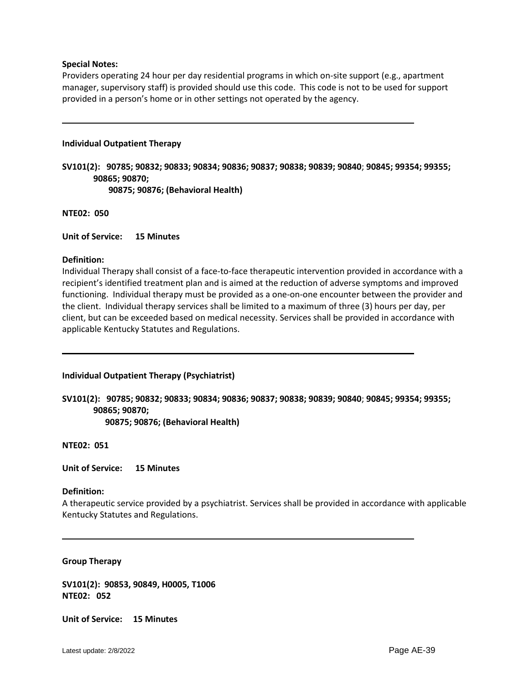## **Special Notes:**

Providers operating 24 hour per day residential programs in which on-site support (e.g., apartment manager, supervisory staff) is provided should use this code. This code is not to be used for support provided in a person's home or in other settings not operated by the agency.

## **Individual Outpatient Therapy**

**SV101(2): 90785; 90832; 90833; 90834; 90836; 90837; 90838; 90839; 90840**; **90845; 99354; 99355; 90865; 90870; 90875; 90876; (Behavioral Health)**

**NTE02: 050**

**Unit of Service: 15 Minutes**

# **Definition:**

Individual Therapy shall consist of a face-to-face therapeutic intervention provided in accordance with a recipient's identified treatment plan and is aimed at the reduction of adverse symptoms and improved functioning. Individual therapy must be provided as a one-on-one encounter between the provider and the client. Individual therapy services shall be limited to a maximum of three (3) hours per day, per client, but can be exceeded based on medical necessity. Services shall be provided in accordance with applicable Kentucky Statutes and Regulations.

**Individual Outpatient Therapy (Psychiatrist)**

**SV101(2): 90785; 90832; 90833; 90834; 90836; 90837; 90838; 90839; 90840**; **90845; 99354; 99355; 90865; 90870;** 

 **90875; 90876; (Behavioral Health)**

**NTE02: 051**

**Unit of Service: 15 Minutes**

#### **Definition:**

A therapeutic service provided by a psychiatrist. Services shall be provided in accordance with applicable Kentucky Statutes and Regulations.

#### **Group Therapy**

**SV101(2): 90853, 90849, H0005, T1006 NTE02: 052**

**Unit of Service: 15 Minutes**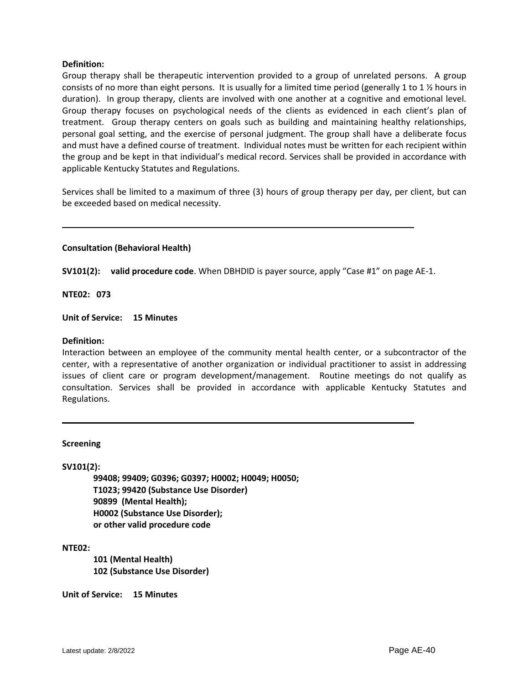Group therapy shall be therapeutic intervention provided to a group of unrelated persons. A group consists of no more than eight persons. It is usually for a limited time period (generally 1 to 1 ½ hours in duration). In group therapy, clients are involved with one another at a cognitive and emotional level. Group therapy focuses on psychological needs of the clients as evidenced in each client's plan of treatment. Group therapy centers on goals such as building and maintaining healthy relationships, personal goal setting, and the exercise of personal judgment. The group shall have a deliberate focus and must have a defined course of treatment. Individual notes must be written for each recipient within the group and be kept in that individual's medical record. Services shall be provided in accordance with applicable Kentucky Statutes and Regulations.

Services shall be limited to a maximum of three (3) hours of group therapy per day, per client, but can be exceeded based on medical necessity.

# **Consultation (Behavioral Health)**

**SV101(2): valid procedure code**. When DBHDID is payer source, apply "Case #1" on page AE-1.

**NTE02: 073**

**Unit of Service: 15 Minutes**

# **Definition:**

Interaction between an employee of the community mental health center, or a subcontractor of the center, with a representative of another organization or individual practitioner to assist in addressing issues of client care or program development/management. Routine meetings do not qualify as consultation. Services shall be provided in accordance with applicable Kentucky Statutes and Regulations.

#### **Screening**

#### **SV101(2):**

**99408; 99409; G0396; G0397; H0002; H0049; H0050; T1023; 99420 (Substance Use Disorder) 90899 (Mental Health); H0002 (Substance Use Disorder); or other valid procedure code**

#### **NTE02:**

**101 (Mental Health) 102 (Substance Use Disorder)**

**Unit of Service: 15 Minutes**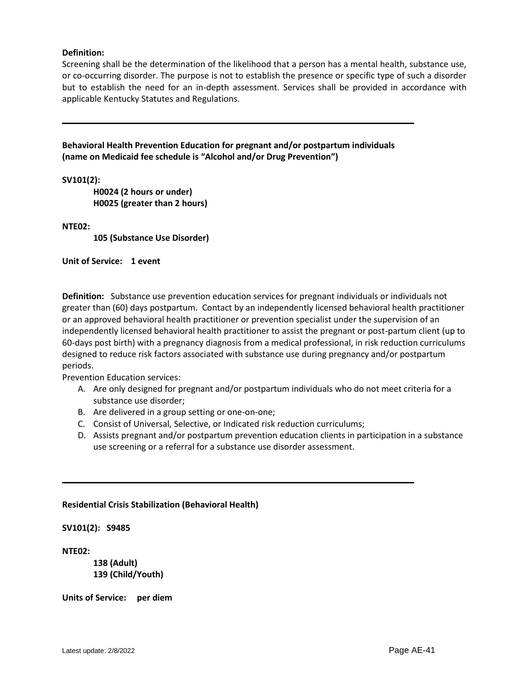Screening shall be the determination of the likelihood that a person has a mental health, substance use, or co-occurring disorder. The purpose is not to establish the presence or specific type of such a disorder but to establish the need for an in-depth assessment. Services shall be provided in accordance with applicable Kentucky Statutes and Regulations.

**Behavioral Health Prevention Education for pregnant and/or postpartum individuals (name on Medicaid fee schedule is "Alcohol and/or Drug Prevention")**

**SV101(2):** 

**H0024 (2 hours or under) H0025 (greater than 2 hours)**

**NTE02:** 

**105 (Substance Use Disorder)**

**Unit of Service: 1 event**

**Definition:** Substance use prevention education services for pregnant individuals or individuals not greater than (60) days postpartum. Contact by an independently licensed behavioral health practitioner or an approved behavioral health practitioner or prevention specialist under the supervision of an independently licensed behavioral health practitioner to assist the pregnant or post-partum client (up to 60-days post birth) with a pregnancy diagnosis from a medical professional, in risk reduction curriculums designed to reduce risk factors associated with substance use during pregnancy and/or postpartum periods.

Prevention Education services:

- A. Are only designed for pregnant and/or postpartum individuals who do not meet criteria for a substance use disorder;
- B. Are delivered in a group setting or one-on-one;
- C. Consist of Universal, Selective, or Indicated risk reduction curriculums;
- D. Assists pregnant and/or postpartum prevention education clients in participation in a substance use screening or a referral for a substance use disorder assessment.

#### **Residential Crisis Stabilization (Behavioral Health)**

**SV101(2): S9485** 

**NTE02:** 

**138 (Adult) 139 (Child/Youth)**

**Units of Service: per diem**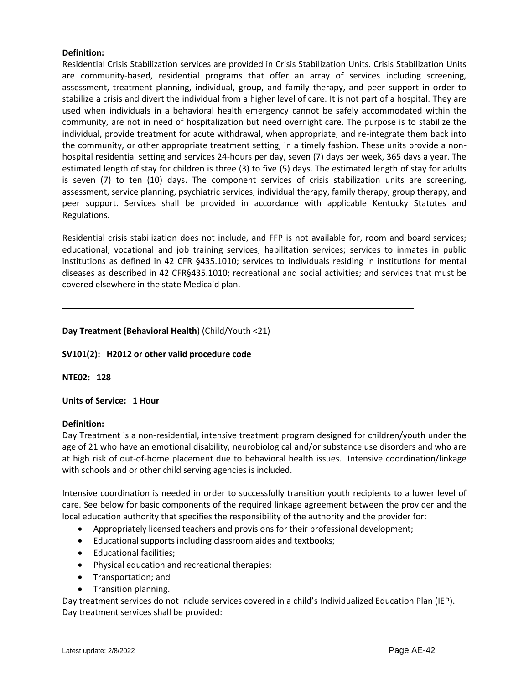Residential Crisis Stabilization services are provided in Crisis Stabilization Units. Crisis Stabilization Units are community-based, residential programs that offer an array of services including screening, assessment, treatment planning, individual, group, and family therapy, and peer support in order to stabilize a crisis and divert the individual from a higher level of care. It is not part of a hospital. They are used when individuals in a behavioral health emergency cannot be safely accommodated within the community, are not in need of hospitalization but need overnight care. The purpose is to stabilize the individual, provide treatment for acute withdrawal, when appropriate, and re-integrate them back into the community, or other appropriate treatment setting, in a timely fashion. These units provide a nonhospital residential setting and services 24-hours per day, seven (7) days per week, 365 days a year. The estimated length of stay for children is three (3) to five (5) days. The estimated length of stay for adults is seven (7) to ten (10) days. The component services of crisis stabilization units are screening, assessment, service planning, psychiatric services, individual therapy, family therapy, group therapy, and peer support. Services shall be provided in accordance with applicable Kentucky Statutes and Regulations.

Residential crisis stabilization does not include, and FFP is not available for, room and board services; educational, vocational and job training services; habilitation services; services to inmates in public institutions as defined in 42 CFR §435.1010; services to individuals residing in institutions for mental diseases as described in 42 CFR§435.1010; recreational and social activities; and services that must be covered elsewhere in the state Medicaid plan.

# **Day Treatment (Behavioral Health**) (Child/Youth <21)

# **SV101(2): H2012 or other valid procedure code**

**NTE02: 128**

# **Units of Service: 1 Hour**

# **Definition:**

Day Treatment is a non-residential, intensive treatment program designed for children/youth under the age of 21 who have an emotional disability, neurobiological and/or substance use disorders and who are at high risk of out-of-home placement due to behavioral health issues. Intensive coordination/linkage with schools and or other child serving agencies is included.

Intensive coordination is needed in order to successfully transition youth recipients to a lower level of care. See below for basic components of the required linkage agreement between the provider and the local education authority that specifies the responsibility of the authority and the provider for:

- Appropriately licensed teachers and provisions for their professional development;
- Educational supports including classroom aides and textbooks;
- Educational facilities;
- Physical education and recreational therapies;
- Transportation; and
- Transition planning.

Day treatment services do not include services covered in a child's Individualized Education Plan (IEP). Day treatment services shall be provided: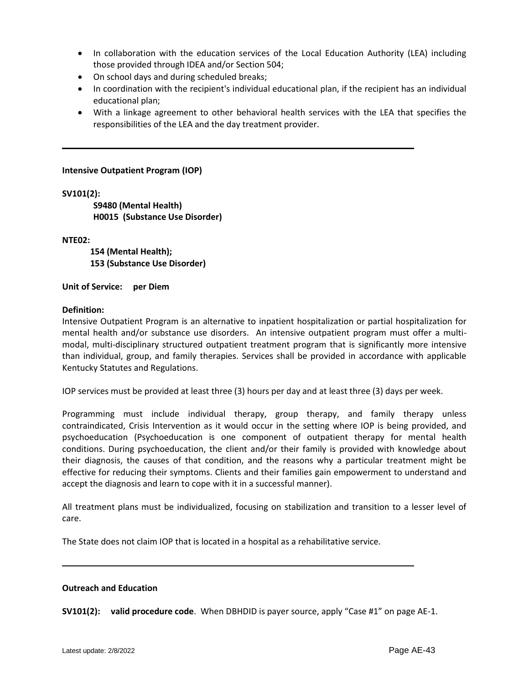- In collaboration with the education services of the Local Education Authority (LEA) including those provided through IDEA and/or Section 504;
- On school days and during scheduled breaks;
- In coordination with the recipient's individual educational plan, if the recipient has an individual educational plan;
- With a linkage agreement to other behavioral health services with the LEA that specifies the responsibilities of the LEA and the day treatment provider.

**Intensive Outpatient Program (IOP)**

**SV101(2):**

**S9480 (Mental Health) H0015 (Substance Use Disorder)**

**NTE02:** 

 **154 (Mental Health); 153 (Substance Use Disorder)**

**Unit of Service: per Diem**

# **Definition:**

Intensive Outpatient Program is an alternative to inpatient hospitalization or partial hospitalization for mental health and/or substance use disorders. An intensive outpatient program must offer a multimodal, multi-disciplinary structured outpatient treatment program that is significantly more intensive than individual, group, and family therapies. Services shall be provided in accordance with applicable Kentucky Statutes and Regulations.

IOP services must be provided at least three (3) hours per day and at least three (3) days per week.

Programming must include individual therapy, group therapy, and family therapy unless contraindicated, Crisis Intervention as it would occur in the setting where IOP is being provided, and psychoeducation (Psychoeducation is one component of outpatient therapy for mental health conditions. During psychoeducation, the client and/or their family is provided with knowledge about their diagnosis, the causes of that condition, and the reasons why a particular treatment might be effective for reducing their symptoms. Clients and their families gain empowerment to understand and accept the diagnosis and learn to cope with it in a successful manner).

All treatment plans must be individualized, focusing on stabilization and transition to a lesser level of care.

The State does not claim IOP that is located in a hospital as a rehabilitative service.

#### **Outreach and Education**

**SV101(2): valid procedure code**. When DBHDID is payer source, apply "Case #1" on page AE-1.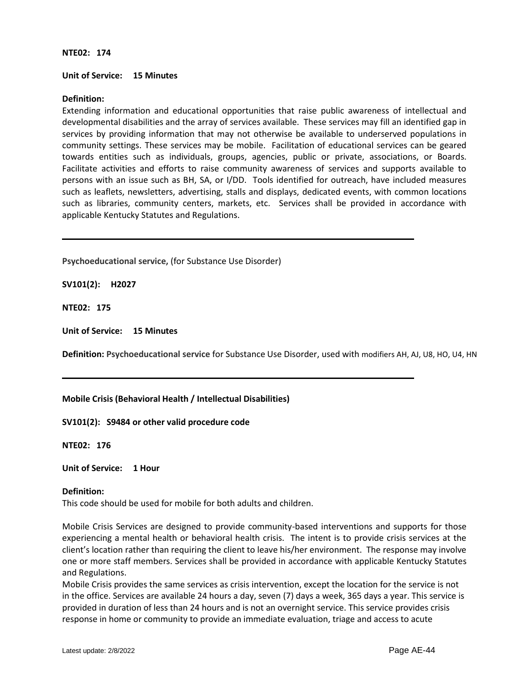#### **NTE02: 174**

#### **Unit of Service: 15 Minutes**

# **Definition:**

Extending information and educational opportunities that raise public awareness of intellectual and developmental disabilities and the array of services available. These services may fill an identified gap in services by providing information that may not otherwise be available to underserved populations in community settings. These services may be mobile. Facilitation of educational services can be geared towards entities such as individuals, groups, agencies, public or private, associations, or Boards. Facilitate activities and efforts to raise community awareness of services and supports available to persons with an issue such as BH, SA, or I/DD. Tools identified for outreach, have included measures such as leaflets, newsletters, advertising, stalls and displays, dedicated events, with common locations such as libraries, community centers, markets, etc. Services shall be provided in accordance with applicable Kentucky Statutes and Regulations.

**Psychoeducational service,** (for Substance Use Disorder)

**SV101(2): H2027**

**NTE02: 175**

**Unit of Service: 15 Minutes**

**Definition: Psychoeducational service** for Substance Use Disorder, used with modifiers AH, AJ, U8, HO, U4, HN

#### **Mobile Crisis (Behavioral Health / Intellectual Disabilities)**

**SV101(2): S9484 or other valid procedure code**

**NTE02: 176**

**Unit of Service: 1 Hour**

#### **Definition:**

This code should be used for mobile for both adults and children.

Mobile Crisis Services are designed to provide community-based interventions and supports for those experiencing a mental health or behavioral health crisis. The intent is to provide crisis services at the client's location rather than requiring the client to leave his/her environment. The response may involve one or more staff members. Services shall be provided in accordance with applicable Kentucky Statutes and Regulations.

Mobile Crisis provides the same services as crisis intervention, except the location for the service is not in the office. Services are available 24 hours a day, seven (7) days a week, 365 days a year. This service is provided in duration of less than 24 hours and is not an overnight service. This service provides crisis response in home or community to provide an immediate evaluation, triage and access to acute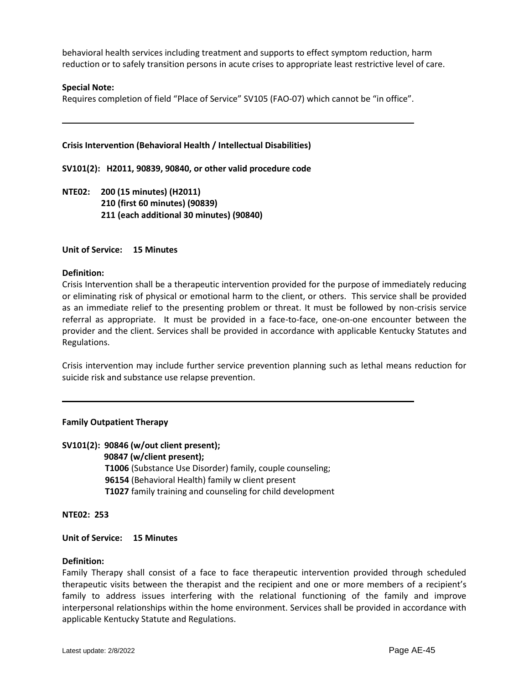behavioral health services including treatment and supports to effect symptom reduction, harm reduction or to safely transition persons in acute crises to appropriate least restrictive level of care.

#### **Special Note:**

Requires completion of field "Place of Service" SV105 (FAO-07) which cannot be "in office".

#### **Crisis Intervention (Behavioral Health / Intellectual Disabilities)**

**SV101(2): H2011, 90839, 90840, or other valid procedure code**

**NTE02: 200 (15 minutes) (H2011) 210 (first 60 minutes) (90839) 211 (each additional 30 minutes) (90840)**

#### **Unit of Service: 15 Minutes**

#### **Definition:**

Crisis Intervention shall be a therapeutic intervention provided for the purpose of immediately reducing or eliminating risk of physical or emotional harm to the client, or others. This service shall be provided as an immediate relief to the presenting problem or threat. It must be followed by non-crisis service referral as appropriate. It must be provided in a face-to-face, one-on-one encounter between the provider and the client. Services shall be provided in accordance with applicable Kentucky Statutes and Regulations.

Crisis intervention may include further service prevention planning such as lethal means reduction for suicide risk and substance use relapse prevention.

#### **Family Outpatient Therapy**

#### **SV101(2): 90846 (w/out client present);**

 **90847 (w/client present); T1006** (Substance Use Disorder) family, couple counseling; **96154** (Behavioral Health) family w client present **T1027** family training and counseling for child development

**NTE02: 253**

#### **Unit of Service: 15 Minutes**

#### **Definition:**

Family Therapy shall consist of a face to face therapeutic intervention provided through scheduled therapeutic visits between the therapist and the recipient and one or more members of a recipient's family to address issues interfering with the relational functioning of the family and improve interpersonal relationships within the home environment. Services shall be provided in accordance with applicable Kentucky Statute and Regulations.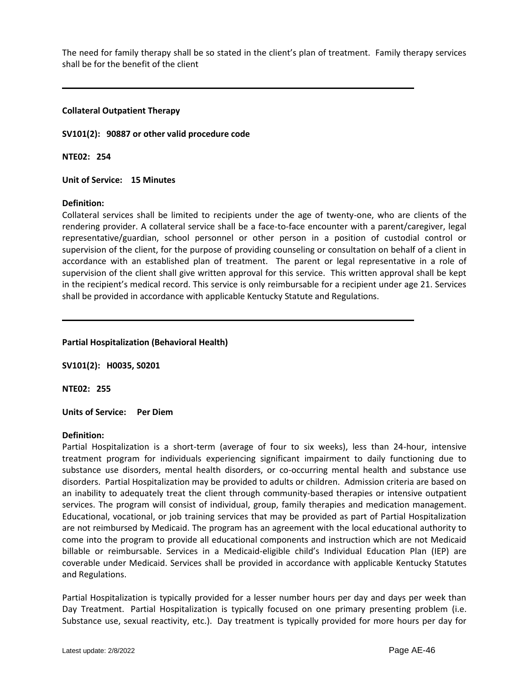The need for family therapy shall be so stated in the client's plan of treatment. Family therapy services shall be for the benefit of the client

#### **Collateral Outpatient Therapy**

**SV101(2): 90887 or other valid procedure code**

**NTE02: 254**

**Unit of Service: 15 Minutes**

#### **Definition:**

Collateral services shall be limited to recipients under the age of twenty-one, who are clients of the rendering provider. A collateral service shall be a face-to-face encounter with a parent/caregiver, legal representative/guardian, school personnel or other person in a position of custodial control or supervision of the client, for the purpose of providing counseling or consultation on behalf of a client in accordance with an established plan of treatment. The parent or legal representative in a role of supervision of the client shall give written approval for this service. This written approval shall be kept in the recipient's medical record. This service is only reimbursable for a recipient under age 21. Services shall be provided in accordance with applicable Kentucky Statute and Regulations.

**Partial Hospitalization (Behavioral Health)**

**SV101(2): H0035, S0201**

**NTE02: 255**

**Units of Service: Per Diem**

#### **Definition:**

Partial Hospitalization is a short-term (average of four to six weeks), less than 24-hour, intensive treatment program for individuals experiencing significant impairment to daily functioning due to substance use disorders, mental health disorders, or co-occurring mental health and substance use disorders. Partial Hospitalization may be provided to adults or children. Admission criteria are based on an inability to adequately treat the client through community-based therapies or intensive outpatient services. The program will consist of individual, group, family therapies and medication management. Educational, vocational, or job training services that may be provided as part of Partial Hospitalization are not reimbursed by Medicaid. The program has an agreement with the local educational authority to come into the program to provide all educational components and instruction which are not Medicaid billable or reimbursable. Services in a Medicaid-eligible child's Individual Education Plan (IEP) are coverable under Medicaid. Services shall be provided in accordance with applicable Kentucky Statutes and Regulations.

Partial Hospitalization is typically provided for a lesser number hours per day and days per week than Day Treatment. Partial Hospitalization is typically focused on one primary presenting problem (i.e. Substance use, sexual reactivity, etc.). Day treatment is typically provided for more hours per day for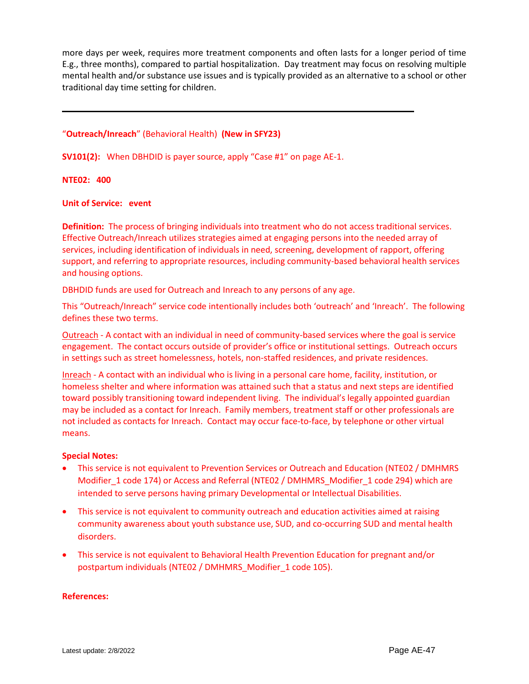more days per week, requires more treatment components and often lasts for a longer period of time E.g., three months), compared to partial hospitalization. Day treatment may focus on resolving multiple mental health and/or substance use issues and is typically provided as an alternative to a school or other traditional day time setting for children.

# "**Outreach/Inreach**" (Behavioral Health) **(New in SFY23)**

**SV101(2):** When DBHDID is payer source, apply "Case #1" on page AE-1.

#### **NTE02: 400**

#### **Unit of Service: event**

**Definition:** The process of bringing individuals into treatment who do not access traditional services. Effective Outreach/Inreach utilizes strategies aimed at engaging persons into the needed array of services, including identification of individuals in need, screening, development of rapport, offering support, and referring to appropriate resources, including community-based behavioral health services and housing options.

DBHDID funds are used for Outreach and Inreach to any persons of any age.

This "Outreach/Inreach" service code intentionally includes both 'outreach' and 'Inreach'. The following defines these two terms.

Outreach - A contact with an individual in need of community-based services where the goal is service engagement. The contact occurs outside of provider's office or institutional settings. Outreach occurs in settings such as street homelessness, hotels, non-staffed residences, and private residences.

Inreach - A contact with an individual who is living in a personal care home, facility, institution, or homeless shelter and where information was attained such that a status and next steps are identified toward possibly transitioning toward independent living. The individual's legally appointed guardian may be included as a contact for Inreach. Family members, treatment staff or other professionals are not included as contacts for Inreach. Contact may occur face-to-face, by telephone or other virtual means.

# **Special Notes:**

- This service is not equivalent to Prevention Services or Outreach and Education (NTE02 / DMHMRS Modifier\_1 code 174) or Access and Referral (NTE02 / DMHMRS\_Modifier\_1 code 294) which are intended to serve persons having primary Developmental or Intellectual Disabilities.
- This service is not equivalent to community outreach and education activities aimed at raising community awareness about youth substance use, SUD, and co-occurring SUD and mental health disorders.
- This service is not equivalent to Behavioral Health Prevention Education for pregnant and/or postpartum individuals (NTE02 / DMHMRS\_Modifier\_1 code 105).

#### **References:**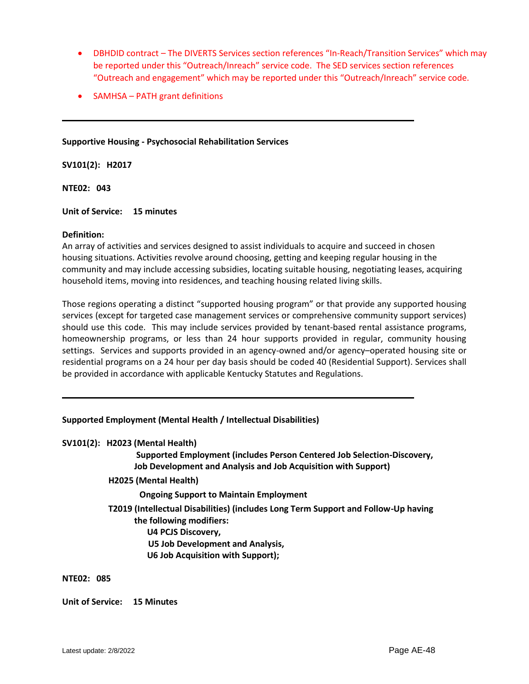- DBHDID contract The DIVERTS Services section references "In-Reach/Transition Services" which may be reported under this "Outreach/Inreach" service code. The SED services section references "Outreach and engagement" which may be reported under this "Outreach/Inreach" service code.
- SAMHSA PATH grant definitions

#### **Supportive Housing - Psychosocial Rehabilitation Services**

**SV101(2): H2017** 

**NTE02: 043**

**Unit of Service: 15 minutes**

#### **Definition:**

An array of activities and services designed to assist individuals to acquire and succeed in chosen housing situations. Activities revolve around choosing, getting and keeping regular housing in the community and may include accessing subsidies, locating suitable housing, negotiating leases, acquiring household items, moving into residences, and teaching housing related living skills.

Those regions operating a distinct "supported housing program" or that provide any supported housing services (except for targeted case management services or comprehensive community support services) should use this code. This may include services provided by tenant-based rental assistance programs, homeownership programs, or less than 24 hour supports provided in regular, community housing settings. Services and supports provided in an agency-owned and/or agency–operated housing site or residential programs on a 24 hour per day basis should be coded 40 (Residential Support). Services shall be provided in accordance with applicable Kentucky Statutes and Regulations.

#### **Supported Employment (Mental Health / Intellectual Disabilities)**

#### **SV101(2): H2023 (Mental Health)**

 **Supported Employment (includes Person Centered Job Selection-Discovery, Job Development and Analysis and Job Acquisition with Support)**

 **H2025 (Mental Health)** 

 **Ongoing Support to Maintain Employment**

- **T2019 (Intellectual Disabilities) (includes Long Term Support and Follow-Up having the following modifiers: U4 PCJS Discovery, U5 Job Development and Analysis,** 
	- **U6 Job Acquisition with Support);**

#### **NTE02: 085**

**Unit of Service: 15 Minutes**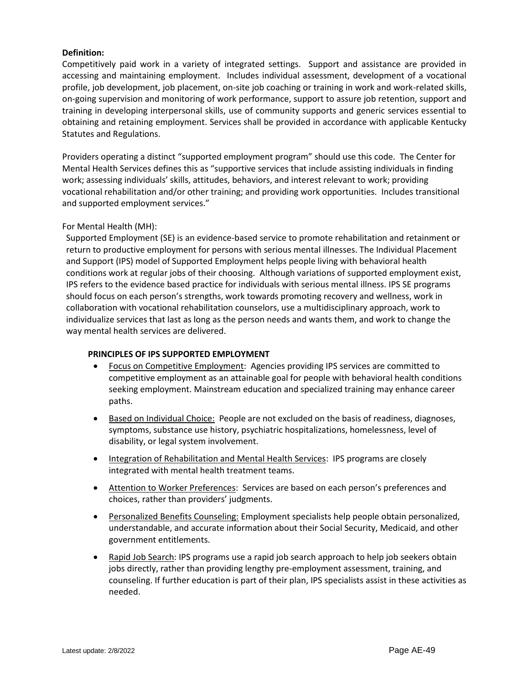Competitively paid work in a variety of integrated settings. Support and assistance are provided in accessing and maintaining employment. Includes individual assessment, development of a vocational profile, job development, job placement, on-site job coaching or training in work and work-related skills, on-going supervision and monitoring of work performance, support to assure job retention, support and training in developing interpersonal skills, use of community supports and generic services essential to obtaining and retaining employment. Services shall be provided in accordance with applicable Kentucky Statutes and Regulations.

Providers operating a distinct "supported employment program" should use this code. The Center for Mental Health Services defines this as "supportive services that include assisting individuals in finding work; assessing individuals' skills, attitudes, behaviors, and interest relevant to work; providing vocational rehabilitation and/or other training; and providing work opportunities. Includes transitional and supported employment services."

# For Mental Health (MH):

Supported Employment (SE) is an evidence-based service to promote rehabilitation and retainment or return to productive employment for persons with serious mental illnesses. The Individual Placement and Support (IPS) model of Supported Employment helps people living with behavioral health conditions work at regular jobs of their choosing. Although variations of supported employment exist, IPS refers to the evidence based practice for individuals with serious mental illness. IPS SE programs should focus on each person's strengths, work towards promoting recovery and wellness, work in collaboration with vocational rehabilitation counselors, use a multidisciplinary approach, work to individualize services that last as long as the person needs and wants them, and work to change the way mental health services are delivered.

#### **PRINCIPLES OF IPS SUPPORTED EMPLOYMENT**

- Focus on Competitive Employment: Agencies providing IPS services are committed to competitive employment as an attainable goal for people with behavioral health conditions seeking employment. Mainstream education and specialized training may enhance career paths.
- Based on Individual Choice: People are not excluded on the basis of readiness, diagnoses, symptoms, substance use history, psychiatric hospitalizations, homelessness, level of disability, or legal system involvement.
- Integration of Rehabilitation and Mental Health Services: IPS programs are closely integrated with mental health treatment teams.
- Attention to Worker Preferences: Services are based on each person's preferences and choices, rather than providers' judgments.
- Personalized Benefits Counseling: Employment specialists help people obtain personalized, understandable, and accurate information about their Social Security, Medicaid, and other government entitlements.
- Rapid Job Search: IPS programs use a rapid job search approach to help job seekers obtain jobs directly, rather than providing lengthy pre-employment assessment, training, and counseling. If further education is part of their plan, IPS specialists assist in these activities as needed.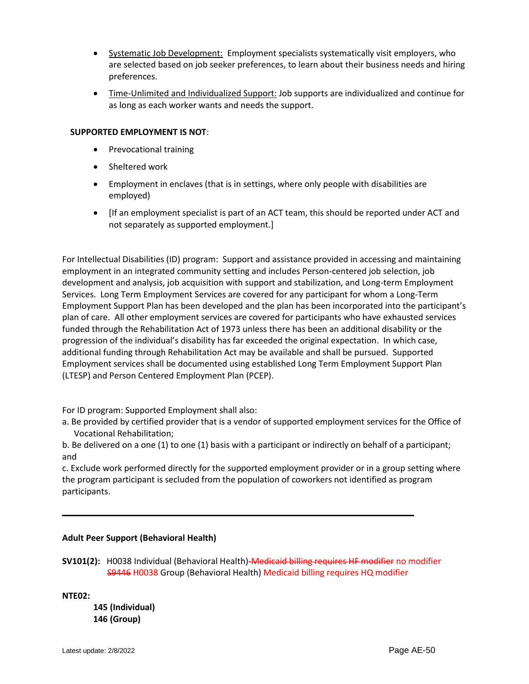- Systematic Job Development: Employment specialists systematically visit employers, who are selected based on job seeker preferences, to learn about their business needs and hiring preferences.
- Time-Unlimited and Individualized Support: Job supports are individualized and continue for as long as each worker wants and needs the support.

# **SUPPORTED EMPLOYMENT IS NOT**:

- Prevocational training
- Sheltered work
- Employment in enclaves (that is in settings, where only people with disabilities are employed)
- [If an employment specialist is part of an ACT team, this should be reported under ACT and not separately as supported employment.]

For Intellectual Disabilities (ID) program: Support and assistance provided in accessing and maintaining employment in an integrated community setting and includes Person-centered job selection, job development and analysis, job acquisition with support and stabilization, and Long-term Employment Services. Long Term Employment Services are covered for any participant for whom a Long-Term Employment Support Plan has been developed and the plan has been incorporated into the participant's plan of care. All other employment services are covered for participants who have exhausted services funded through the Rehabilitation Act of 1973 unless there has been an additional disability or the progression of the individual's disability has far exceeded the original expectation. In which case, additional funding through Rehabilitation Act may be available and shall be pursued. Supported Employment services shall be documented using established Long Term Employment Support Plan (LTESP) and Person Centered Employment Plan (PCEP).

For ID program: Supported Employment shall also:

a. Be provided by certified provider that is a vendor of supported employment services for the Office of Vocational Rehabilitation;

b. Be delivered on a one (1) to one (1) basis with a participant or indirectly on behalf of a participant; and

c. Exclude work performed directly for the supported employment provider or in a group setting where the program participant is secluded from the population of coworkers not identified as program participants.

# **Adult Peer Support (Behavioral Health)**

**SV101(2):** H0038 Individual (Behavioral Health)-Medicaid billing requires HF modifier no modifier S9446 H0038 Group (Behavioral Health) Medicaid billing requires HQ modifier

**NTE02:** 

**145 (Individual) 146 (Group)**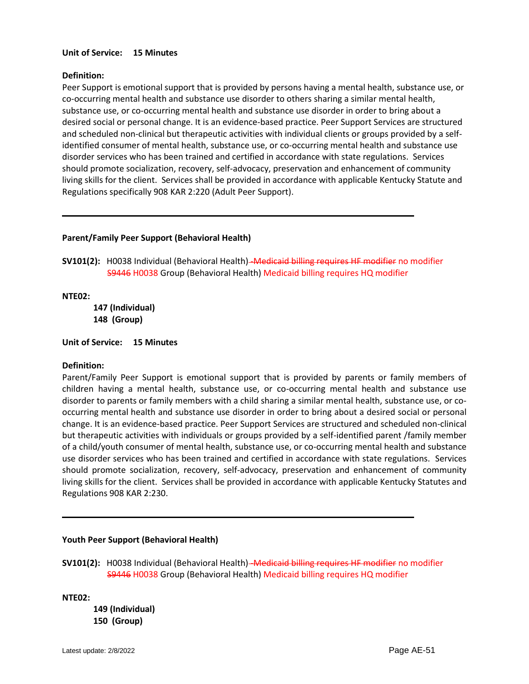# **Unit of Service: 15 Minutes**

# **Definition:**

Peer Support is emotional support that is provided by persons having a mental health, substance use, or co-occurring mental health and substance use disorder to others sharing a similar mental health, substance use, or co-occurring mental health and substance use disorder in order to bring about a desired social or personal change. It is an evidence-based practice. Peer Support Services are structured and scheduled non-clinical but therapeutic activities with individual clients or groups provided by a selfidentified consumer of mental health, substance use, or co-occurring mental health and substance use disorder services who has been trained and certified in accordance with state regulations. Services should promote socialization, recovery, self-advocacy, preservation and enhancement of community living skills for the client. Services shall be provided in accordance with applicable Kentucky Statute and Regulations specifically 908 KAR 2:220 (Adult Peer Support).

# **Parent/Family Peer Support (Behavioral Health)**

SV101(2): H0038 Individual (Behavioral Health)-Medicaid billing requires HF modifier no modifier S9446 H0038 Group (Behavioral Health) Medicaid billing requires HQ modifier

#### **NTE02:**

**147 (Individual) 148 (Group)**

**Unit of Service: 15 Minutes** 

#### **Definition:**

Parent/Family Peer Support is emotional support that is provided by parents or family members of children having a mental health, substance use, or co-occurring mental health and substance use disorder to parents or family members with a child sharing a similar mental health, substance use, or cooccurring mental health and substance use disorder in order to bring about a desired social or personal change. It is an evidence-based practice. Peer Support Services are structured and scheduled non-clinical but therapeutic activities with individuals or groups provided by a self-identified parent /family member of a child/youth consumer of mental health, substance use, or co-occurring mental health and substance use disorder services who has been trained and certified in accordance with state regulations. Services should promote socialization, recovery, self-advocacy, preservation and enhancement of community living skills for the client. Services shall be provided in accordance with applicable Kentucky Statutes and Regulations 908 KAR 2:230.

#### **Youth Peer Support (Behavioral Health)**

**SV101(2):** H0038 Individual (Behavioral Health)–Medicaid billing requires HF modifier no modifier S9446 H0038 Group (Behavioral Health) Medicaid billing requires HQ modifier

**NTE02:**

**149 (Individual) 150 (Group)**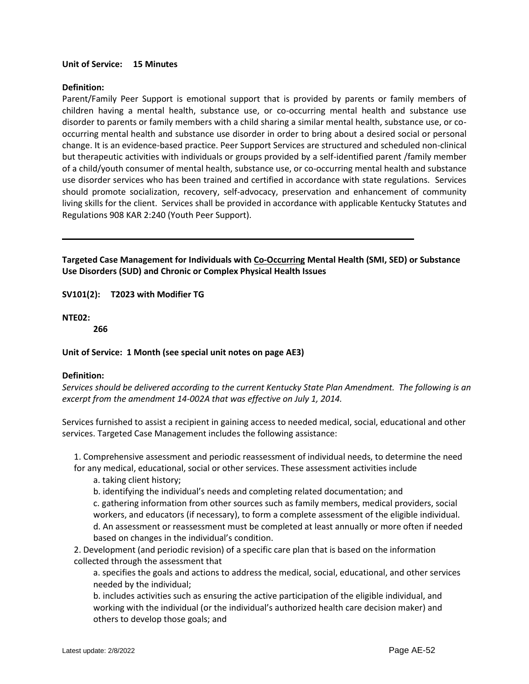# **Unit of Service: 15 Minutes**

## **Definition:**

Parent/Family Peer Support is emotional support that is provided by parents or family members of children having a mental health, substance use, or co-occurring mental health and substance use disorder to parents or family members with a child sharing a similar mental health, substance use, or cooccurring mental health and substance use disorder in order to bring about a desired social or personal change. It is an evidence-based practice. Peer Support Services are structured and scheduled non-clinical but therapeutic activities with individuals or groups provided by a self-identified parent /family member of a child/youth consumer of mental health, substance use, or co-occurring mental health and substance use disorder services who has been trained and certified in accordance with state regulations. Services should promote socialization, recovery, self-advocacy, preservation and enhancement of community living skills for the client. Services shall be provided in accordance with applicable Kentucky Statutes and Regulations 908 KAR 2:240 (Youth Peer Support).

**Targeted Case Management for Individuals with Co-Occurring Mental Health (SMI, SED) or Substance Use Disorders (SUD) and Chronic or Complex Physical Health Issues**

**SV101(2): T2023 with Modifier TG** 

# **NTE02:**

**266**

#### **Unit of Service: 1 Month (see special unit notes on page AE3)**

#### **Definition:**

*Services should be delivered according to the current Kentucky State Plan Amendment. The following is an excerpt from the amendment 14-002A that was effective on July 1, 2014.* 

Services furnished to assist a recipient in gaining access to needed medical, social, educational and other services. Targeted Case Management includes the following assistance:

1. Comprehensive assessment and periodic reassessment of individual needs, to determine the need for any medical, educational, social or other services. These assessment activities include

- a. taking client history;
- b. identifying the individual's needs and completing related documentation; and

c. gathering information from other sources such as family members, medical providers, social workers, and educators (if necessary), to form a complete assessment of the eligible individual. d. An assessment or reassessment must be completed at least annually or more often if needed based on changes in the individual's condition.

2. Development (and periodic revision) of a specific care plan that is based on the information collected through the assessment that

a. specifies the goals and actions to address the medical, social, educational, and other services needed by the individual;

b. includes activities such as ensuring the active participation of the eligible individual, and working with the individual (or the individual's authorized health care decision maker) and others to develop those goals; and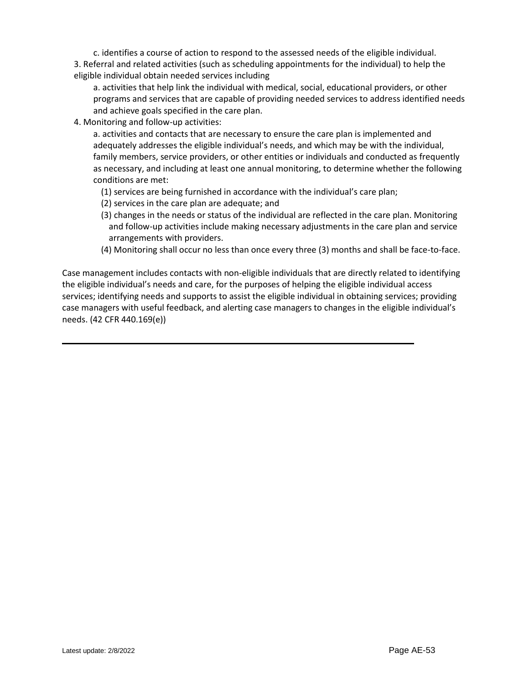c. identifies a course of action to respond to the assessed needs of the eligible individual. 3. Referral and related activities (such as scheduling appointments for the individual) to help the eligible individual obtain needed services including

a. activities that help link the individual with medical, social, educational providers, or other programs and services that are capable of providing needed services to address identified needs and achieve goals specified in the care plan.

4. Monitoring and follow-up activities:

a. activities and contacts that are necessary to ensure the care plan is implemented and adequately addresses the eligible individual's needs, and which may be with the individual, family members, service providers, or other entities or individuals and conducted as frequently as necessary, and including at least one annual monitoring, to determine whether the following conditions are met:

- (1) services are being furnished in accordance with the individual's care plan;
- (2) services in the care plan are adequate; and
- (3) changes in the needs or status of the individual are reflected in the care plan. Monitoring and follow-up activities include making necessary adjustments in the care plan and service arrangements with providers.
- (4) Monitoring shall occur no less than once every three (3) months and shall be face-to-face.

Case management includes contacts with non-eligible individuals that are directly related to identifying the eligible individual's needs and care, for the purposes of helping the eligible individual access services; identifying needs and supports to assist the eligible individual in obtaining services; providing case managers with useful feedback, and alerting case managers to changes in the eligible individual's needs. (42 CFR 440.169(e))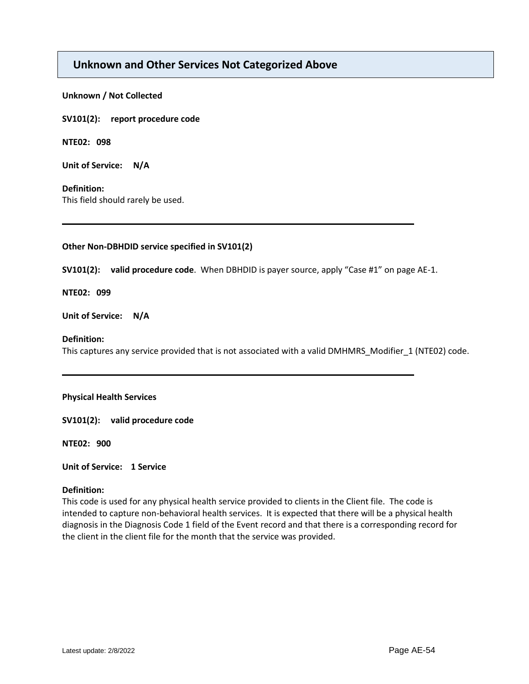# **Unknown and Other Services Not Categorized Above**

#### **Unknown / Not Collected**

**SV101(2): report procedure code** 

**NTE02: 098**

**Unit of Service: N/A**

#### **Definition:**

This field should rarely be used.

# **Other Non-DBHDID service specified in SV101(2)**

**SV101(2): valid procedure code**. When DBHDID is payer source, apply "Case #1" on page AE-1.

# **NTE02: 099**

**Unit of Service: N/A**

# **Definition:**

This captures any service provided that is not associated with a valid DMHMRS\_Modifier\_1 (NTE02) code.

#### **Physical Health Services**

**SV101(2): valid procedure code**

**NTE02: 900**

**Unit of Service: 1 Service** 

#### **Definition:**

This code is used for any physical health service provided to clients in the Client file. The code is intended to capture non-behavioral health services. It is expected that there will be a physical health diagnosis in the Diagnosis Code 1 field of the Event record and that there is a corresponding record for the client in the client file for the month that the service was provided.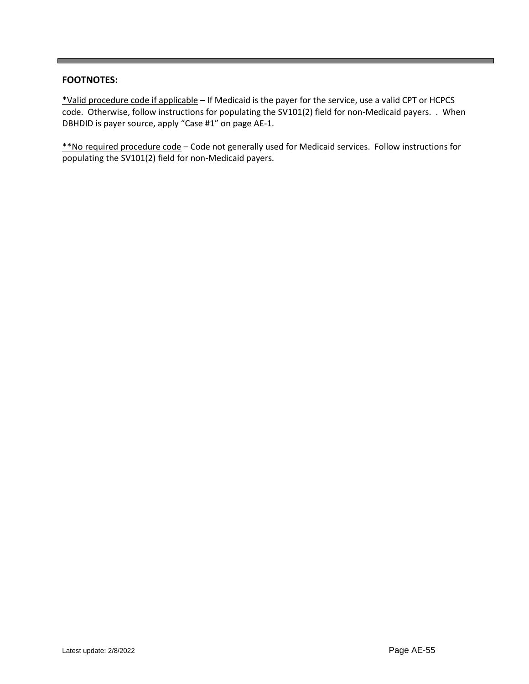# **FOOTNOTES:**

\*Valid procedure code if applicable – If Medicaid is the payer for the service, use a valid CPT or HCPCS code. Otherwise, follow instructions for populating the SV101(2) field for non-Medicaid payers. . When DBHDID is payer source, apply "Case #1" on page AE-1.

\*\*No required procedure code – Code not generally used for Medicaid services. Follow instructions for populating the SV101(2) field for non-Medicaid payers.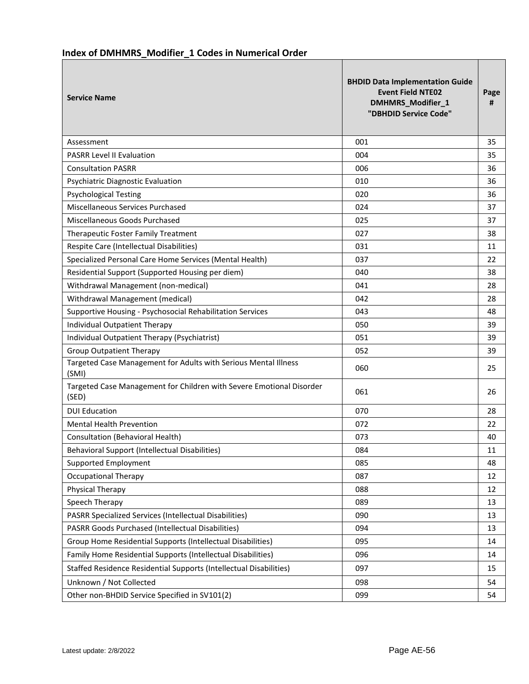# **Index of DMHMRS\_Modifier\_1 Codes in Numerical Order**

| <b>Service Name</b>                                                           | <b>BHDID Data Implementation Guide</b><br><b>Event Field NTE02</b><br>DMHMRS_Modifier_1<br>"DBHDID Service Code" | Page<br># |
|-------------------------------------------------------------------------------|------------------------------------------------------------------------------------------------------------------|-----------|
| Assessment                                                                    | 001                                                                                                              | 35        |
| <b>PASRR Level II Evaluation</b>                                              | 004                                                                                                              | 35        |
| <b>Consultation PASRR</b>                                                     | 006                                                                                                              | 36        |
| Psychiatric Diagnostic Evaluation                                             | 010                                                                                                              | 36        |
| <b>Psychological Testing</b>                                                  | 020                                                                                                              | 36        |
| Miscellaneous Services Purchased                                              | 024                                                                                                              | 37        |
| Miscellaneous Goods Purchased                                                 | 025                                                                                                              | 37        |
| Therapeutic Foster Family Treatment                                           | 027                                                                                                              | 38        |
| Respite Care (Intellectual Disabilities)                                      | 031                                                                                                              | 11        |
| Specialized Personal Care Home Services (Mental Health)                       | 037                                                                                                              | 22        |
| Residential Support (Supported Housing per diem)                              | 040                                                                                                              | 38        |
| Withdrawal Management (non-medical)                                           | 041                                                                                                              | 28        |
| Withdrawal Management (medical)                                               | 042                                                                                                              | 28        |
| Supportive Housing - Psychosocial Rehabilitation Services                     | 043                                                                                                              | 48        |
| Individual Outpatient Therapy                                                 | 050                                                                                                              | 39        |
| Individual Outpatient Therapy (Psychiatrist)                                  | 051                                                                                                              | 39        |
| <b>Group Outpatient Therapy</b>                                               | 052                                                                                                              | 39        |
| Targeted Case Management for Adults with Serious Mental Illness<br>(SMI)      | 060                                                                                                              | 25        |
| Targeted Case Management for Children with Severe Emotional Disorder<br>(SED) | 061                                                                                                              | 26        |
| <b>DUI Education</b>                                                          | 070                                                                                                              | 28        |
| <b>Mental Health Prevention</b>                                               | 072                                                                                                              | 22        |
| Consultation (Behavioral Health)                                              | 073                                                                                                              | 40        |
| <b>Behavioral Support (Intellectual Disabilities)</b>                         | 084                                                                                                              | 11        |
| Supported Employment                                                          | 085                                                                                                              | 48        |
| <b>Occupational Therapy</b>                                                   | 087                                                                                                              | 12        |
| Physical Therapy                                                              | 088                                                                                                              | 12        |
| Speech Therapy                                                                | 089                                                                                                              | 13        |
| <b>PASRR Specialized Services (Intellectual Disabilities)</b>                 | 090                                                                                                              | 13        |
| PASRR Goods Purchased (Intellectual Disabilities)                             | 094                                                                                                              | 13        |
| Group Home Residential Supports (Intellectual Disabilities)                   | 095                                                                                                              | 14        |
| Family Home Residential Supports (Intellectual Disabilities)                  | 096                                                                                                              | 14        |
| Staffed Residence Residential Supports (Intellectual Disabilities)            | 097                                                                                                              | 15        |
| Unknown / Not Collected                                                       | 098                                                                                                              | 54        |
| Other non-BHDID Service Specified in SV101(2)                                 | 099                                                                                                              | 54        |

H.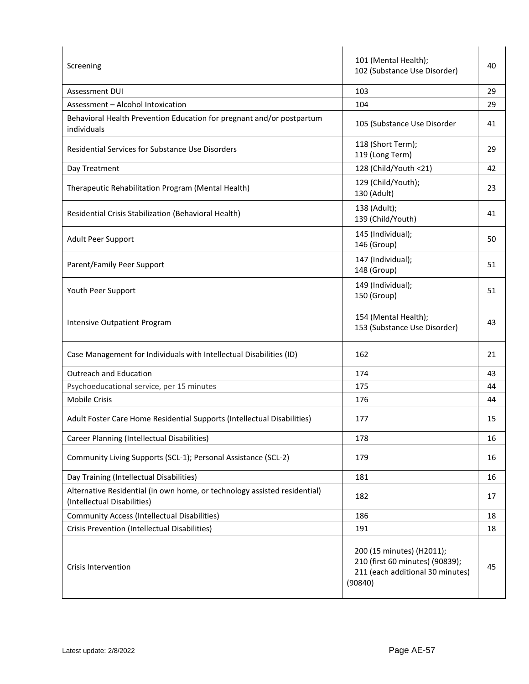| Screening                                                                                                | 101 (Mental Health);<br>102 (Substance Use Disorder)                                                        | 40 |
|----------------------------------------------------------------------------------------------------------|-------------------------------------------------------------------------------------------------------------|----|
| <b>Assessment DUI</b>                                                                                    | 103                                                                                                         | 29 |
| Assessment - Alcohol Intoxication                                                                        | 104                                                                                                         | 29 |
| Behavioral Health Prevention Education for pregnant and/or postpartum<br>individuals                     | 105 (Substance Use Disorder                                                                                 | 41 |
| <b>Residential Services for Substance Use Disorders</b>                                                  | 118 (Short Term);<br>119 (Long Term)                                                                        | 29 |
| Day Treatment                                                                                            | 128 (Child/Youth <21)                                                                                       | 42 |
| Therapeutic Rehabilitation Program (Mental Health)                                                       | 129 (Child/Youth);<br>130 (Adult)                                                                           | 23 |
| Residential Crisis Stabilization (Behavioral Health)                                                     | 138 (Adult);<br>139 (Child/Youth)                                                                           | 41 |
| Adult Peer Support                                                                                       | 145 (Individual);<br>146 (Group)                                                                            | 50 |
| Parent/Family Peer Support                                                                               | 147 (Individual);<br>148 (Group)                                                                            | 51 |
| Youth Peer Support                                                                                       | 149 (Individual);<br>150 (Group)                                                                            | 51 |
| Intensive Outpatient Program                                                                             | 154 (Mental Health);<br>153 (Substance Use Disorder)                                                        | 43 |
| Case Management for Individuals with Intellectual Disabilities (ID)                                      | 162                                                                                                         | 21 |
| <b>Outreach and Education</b>                                                                            | 174                                                                                                         | 43 |
| Psychoeducational service, per 15 minutes                                                                | 175                                                                                                         | 44 |
| <b>Mobile Crisis</b>                                                                                     | 176                                                                                                         | 44 |
| Adult Foster Care Home Residential Supports (Intellectual Disabilities)                                  | 177                                                                                                         | 15 |
| Career Planning (Intellectual Disabilities)                                                              | 178                                                                                                         | 16 |
| Community Living Supports (SCL-1); Personal Assistance (SCL-2)                                           | 179                                                                                                         | 16 |
| Day Training (Intellectual Disabilities)                                                                 | 181                                                                                                         | 16 |
| Alternative Residential (in own home, or technology assisted residential)<br>(Intellectual Disabilities) | 182                                                                                                         | 17 |
| <b>Community Access (Intellectual Disabilities)</b>                                                      | 186                                                                                                         | 18 |
| Crisis Prevention (Intellectual Disabilities)                                                            | 191                                                                                                         | 18 |
| <b>Crisis Intervention</b>                                                                               | 200 (15 minutes) (H2011);<br>210 (first 60 minutes) (90839);<br>211 (each additional 30 minutes)<br>(90840) | 45 |